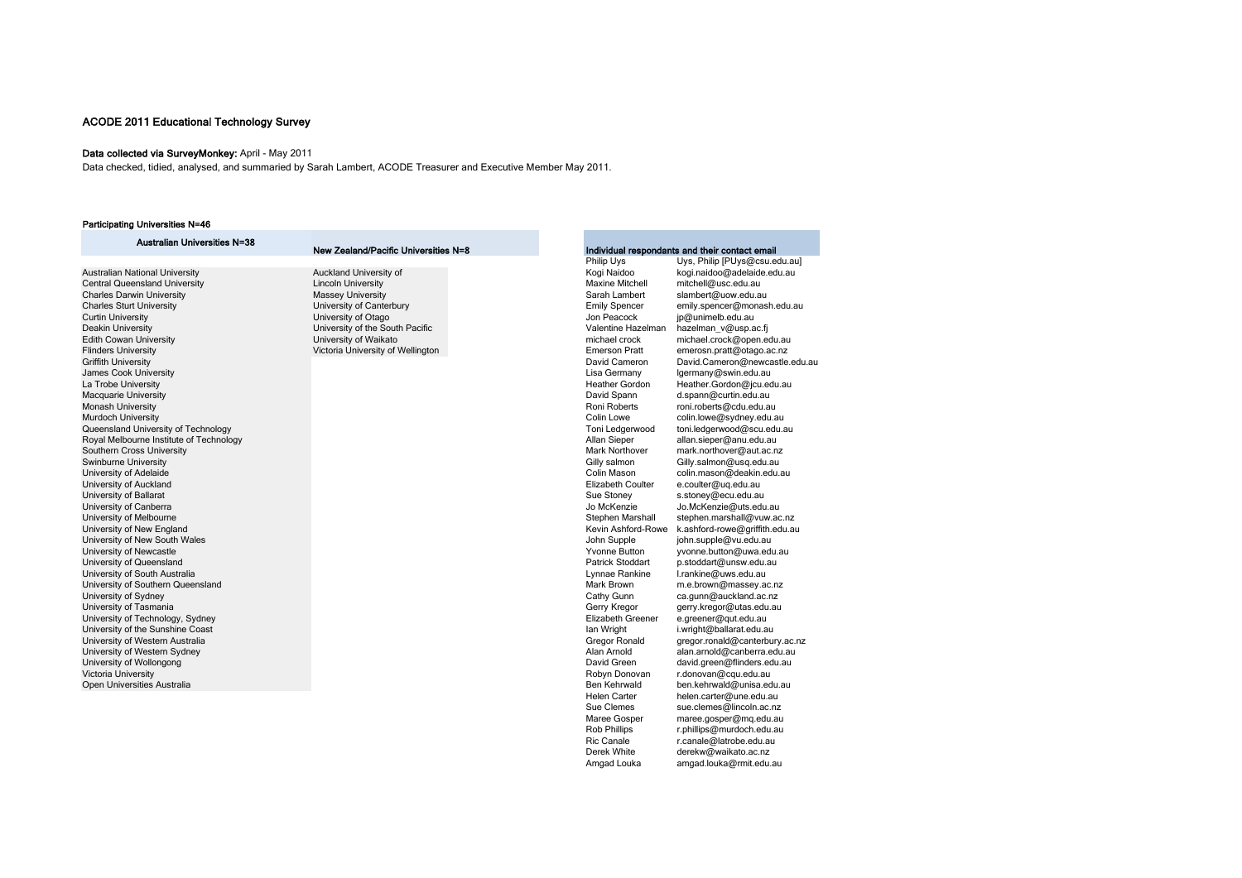## Data collected via SurveyMonkey: April - May 2011

Data checked, tidied, analysed, and summaried by Sarah Lambert, ACODE Treasurer and Executive Member May 2011.

## Participating Universities N=46

| <b>Australian Universities N=38</b>     |                                      |                          |                                                |
|-----------------------------------------|--------------------------------------|--------------------------|------------------------------------------------|
|                                         | New Zealand/Pacific Universities N=8 |                          | Individual respondants and their contact email |
|                                         |                                      | Philip Uys               | Uys, Philip [PUys@csu.edu.au]                  |
| Australian National University          | Auckland University of               | Kogi Naidoo              | kogi.naidoo@adelaide.edu.au                    |
| <b>Central Queensland University</b>    | <b>Lincoln University</b>            | <b>Maxine Mitchell</b>   | mitchell@usc.edu.au                            |
| <b>Charles Darwin University</b>        | <b>Massey University</b>             | Sarah Lambert            | slambert@uow.edu.au                            |
| <b>Charles Sturt University</b>         | University of Canterbury             | <b>Emily Spencer</b>     | emily.spencer@monash.edu.au                    |
| Curtin University                       | University of Otago                  | Jon Peacock              | jp@unimelb.edu.au                              |
| Deakin University                       | University of the South Pacific      | Valentine Hazelman       | hazelman_v@usp.ac.fj                           |
| <b>Edith Cowan University</b>           | University of Waikato                | michael crock            | michael.crock@open.edu.au                      |
| <b>Flinders University</b>              | Victoria University of Wellington    | <b>Emerson Pratt</b>     | emerosn.pratt@otago.ac.nz                      |
| Griffith University                     |                                      | David Cameron            | David.Cameron@newcastle.edu.au                 |
| <b>James Cook University</b>            |                                      | Lisa Germany             | lgermany@swin.edu.au                           |
| La Trobe University                     |                                      | <b>Heather Gordon</b>    | Heather.Gordon@jcu.edu.au                      |
| Macquarie University                    |                                      | David Spann              | d.spann@curtin.edu.au                          |
| Monash University                       |                                      | Roni Roberts             | roni.roberts@cdu.edu.au                        |
| Murdoch University                      |                                      | Colin Lowe               | colin.lowe@sydney.edu.au                       |
| Queensland University of Technology     |                                      | Toni Ledgerwood          | toni.ledgerwood@scu.edu.au                     |
| Royal Melbourne Institute of Technology |                                      | Allan Sieper             | allan.sieper@anu.edu.au                        |
| Southern Cross University               |                                      | Mark Northover           | mark.northover@aut.ac.nz                       |
| Swinburne University                    |                                      | Gilly salmon             | Gilly.salmon@usq.edu.au                        |
| University of Adelaide                  |                                      | Colin Mason              | colin.mason@deakin.edu.au                      |
| University of Auckland                  |                                      | Elizabeth Coulter        | e.coulter@uq.edu.au                            |
| University of Ballarat                  |                                      | Sue Stoney               | s.stoney@ecu.edu.au                            |
| University of Canberra                  |                                      | Jo McKenzie              | Jo.McKenzie@uts.edu.au                         |
| University of Melbourne                 |                                      | Stephen Marshall         | stephen.marshall@vuw.ac.nz                     |
| University of New England               |                                      | Kevin Ashford-Rowe       | k.ashford-rowe@griffith.edu.au                 |
| University of New South Wales           |                                      | John Supple              | john.supple@vu.edu.au                          |
| University of Newcastle                 |                                      | <b>Yvonne Button</b>     | yvonne.button@uwa.edu.au                       |
| University of Queensland                |                                      | <b>Patrick Stoddart</b>  | p.stoddart@unsw.edu.au                         |
| University of South Australia           |                                      | Lynnae Rankine           | l.rankine@uws.edu.au                           |
| University of Southern Queensland       |                                      | Mark Brown               | m.e.brown@massey.ac.nz                         |
| University of Sydney                    |                                      | Cathy Gunn               | ca.gunn@auckland.ac.nz                         |
| University of Tasmania                  |                                      | Gerry Kregor             | gerry.kregor@utas.edu.au                       |
| University of Technology, Sydney        |                                      | <b>Elizabeth Greener</b> | e.greener@qut.edu.au                           |
| University of the Sunshine Coast        |                                      | lan Wright               | i.wright@ballarat.edu.au                       |
| University of Western Australia         |                                      | Gregor Ronald            | gregor.ronald@canterbury.ac.nz                 |
| University of Western Sydney            |                                      | Alan Arnold              | alan.arnold@canberra.edu.au                    |
| University of Wollongong                |                                      | David Green              | david.green@flinders.edu.au                    |
| Victoria University                     |                                      | Robyn Donovan            | r.donovan@cqu.edu.au                           |
| Open Universities Australia             |                                      | Ben Kehrwald             | ben.kehrwald@unisa.edu.au                      |
|                                         |                                      | <b>Helen Carter</b>      | helen.carter@une.edu.au                        |
|                                         |                                      | Sue Clemes               | sue.clemes@lincoln.ac.nz                       |
|                                         |                                      | Maree Gosper             | maree.gosper@mq.edu.au                         |
|                                         |                                      | <b>Rob Phillips</b>      | r.phillips@murdoch.edu.au                      |
|                                         |                                      | <b>Ric Canale</b>        | r.canale@latrobe.edu.au                        |
|                                         |                                      | Derek White              | derekw@waikato.ac.nz                           |
|                                         |                                      | Amgad Louka              | amgad.louka@rmit.edu.au                        |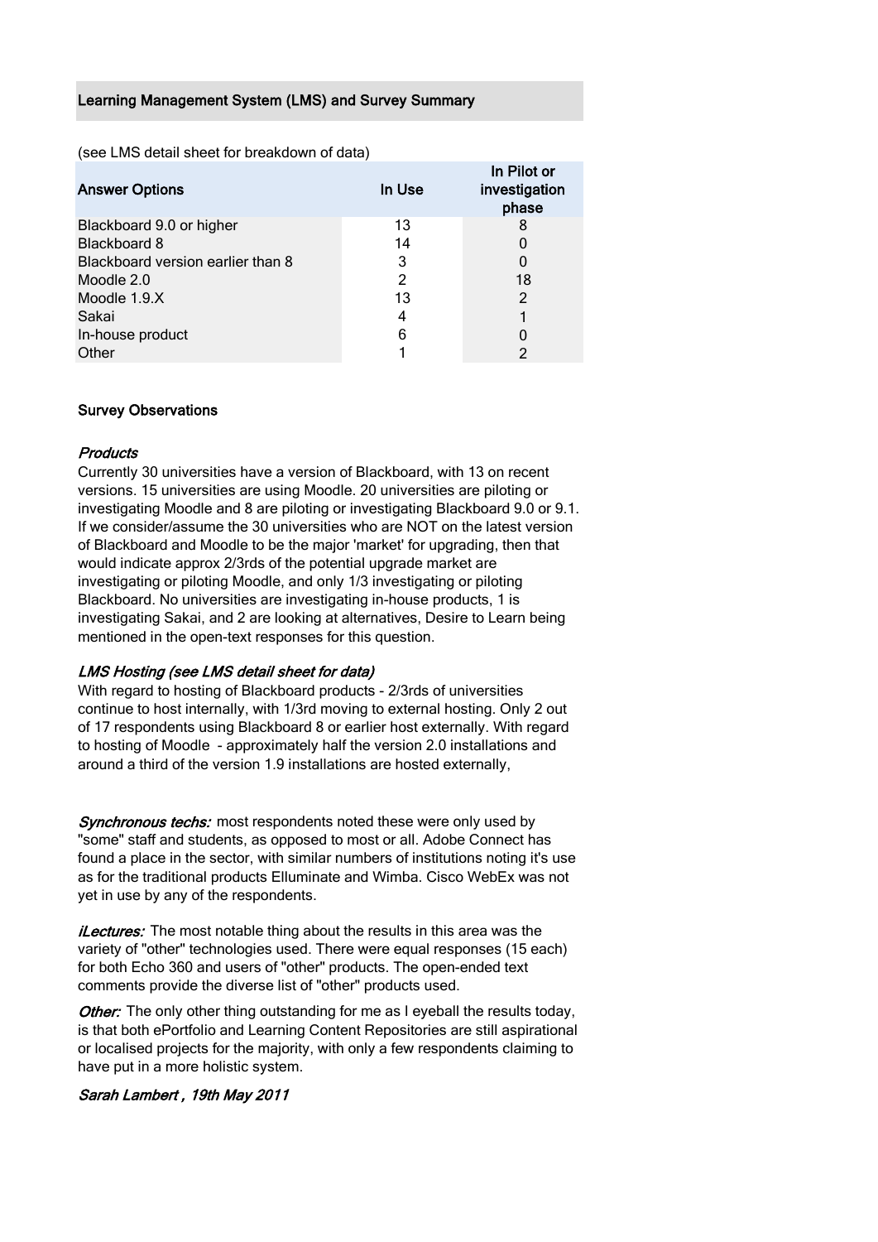## Learning Management System (LMS) and Survey Summary

(see LMS detail sheet for breakdown of data)

| <b>Answer Options</b>             | In Use | In Pilot or<br>investigation<br>phase |
|-----------------------------------|--------|---------------------------------------|
| Blackboard 9.0 or higher          | 13     |                                       |
| <b>Blackboard 8</b>               | 14     |                                       |
| Blackboard version earlier than 8 | 3      | 0                                     |
| Moodle 2.0                        | 2      | 18                                    |
| Moodle 1.9.X                      | 13     | 2                                     |
| Sakai                             | 4      |                                       |
| In-house product                  | 6      |                                       |
| Other                             |        |                                       |
|                                   |        |                                       |

## Survey Observations

## **Products**

Currently 30 universities have a version of Blackboard, with 13 on recent versions. 15 universities are using Moodle. 20 universities are piloting or investigating Moodle and 8 are piloting or investigating Blackboard 9.0 or 9.1. If we consider/assume the 30 universities who are NOT on the latest version of Blackboard and Moodle to be the major 'market' for upgrading, then that would indicate approx 2/3rds of the potential upgrade market are investigating or piloting Moodle, and only 1/3 investigating or piloting Blackboard. No universities are investigating in-house products, 1 is investigating Sakai, and 2 are looking at alternatives, Desire to Learn being mentioned in the open-text responses for this question.

## LMS Hosting (see LMS detail sheet for data)

With regard to hosting of Blackboard products - 2/3rds of universities continue to host internally, with 1/3rd moving to external hosting. Only 2 out of 17 respondents using Blackboard 8 or earlier host externally. With regard to hosting of Moodle - approximately half the version 2.0 installations and around a third of the version 1.9 installations are hosted externally,

Synchronous techs: most respondents noted these were only used by "some" staff and students, as opposed to most or all. Adobe Connect has found a place in the sector, with similar numbers of institutions noting it's use as for the traditional products Elluminate and Wimba. Cisco WebEx was not yet in use by any of the respondents.

*iLectures:* The most notable thing about the results in this area was the variety of "other" technologies used. There were equal responses (15 each) for both Echo 360 and users of "other" products. The open-ended text comments provide the diverse list of "other" products used.

Other: The only other thing outstanding for me as I eyeball the results today, is that both ePortfolio and Learning Content Repositories are still aspirational or localised projects for the majority, with only a few respondents claiming to have put in a more holistic system.

## Sarah Lambert , 19th May 2011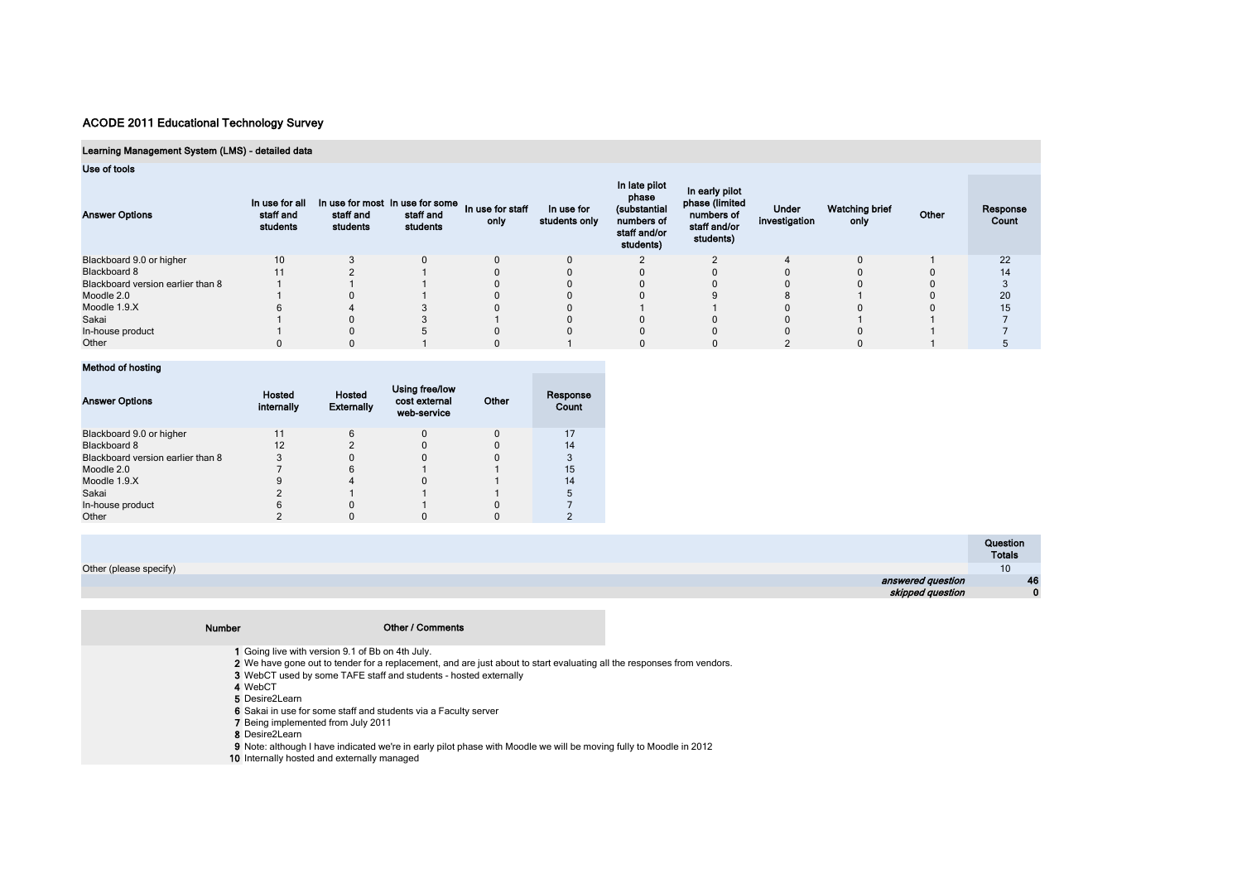## Learning Management System (LMS) - detailed data

## Use of tools

| <b>Answer Options</b>             | In use for all<br>staff and<br>students | In use for most In use for some<br>staff and<br>students | staff and<br>students | In use for staff<br>only | In use for<br>students only | In late pilot<br>phase<br>(substantial<br>numbers of<br>staff and/or<br>students) | In early pilot<br>phase (limited<br>numbers of<br>staff and/or<br>students) | <b>Under</b><br>investigation | <b>Watching brief</b><br>only | Other | Response<br>Count |
|-----------------------------------|-----------------------------------------|----------------------------------------------------------|-----------------------|--------------------------|-----------------------------|-----------------------------------------------------------------------------------|-----------------------------------------------------------------------------|-------------------------------|-------------------------------|-------|-------------------|
| Blackboard 9.0 or higher          | 10 <sup>°</sup>                         |                                                          |                       | $\Omega$                 |                             |                                                                                   |                                                                             |                               |                               |       | 22                |
| Blackboard 8                      |                                         |                                                          |                       |                          |                             |                                                                                   |                                                                             |                               |                               |       | 14                |
| Blackboard version earlier than 8 |                                         |                                                          |                       |                          |                             |                                                                                   |                                                                             |                               |                               |       |                   |
| Moodle 2.0                        |                                         |                                                          |                       |                          |                             |                                                                                   |                                                                             |                               |                               |       | 20                |
| Moodle 1.9.X                      |                                         |                                                          |                       |                          |                             |                                                                                   |                                                                             |                               |                               |       | 15                |
| Sakai                             |                                         |                                                          |                       |                          |                             |                                                                                   |                                                                             |                               |                               |       |                   |
| In-house product                  |                                         |                                                          |                       |                          |                             |                                                                                   |                                                                             |                               |                               |       |                   |
| Other                             |                                         |                                                          |                       |                          |                             |                                                                                   |                                                                             |                               |                               |       |                   |

## Method of hosting

| <b>Answer Options</b>             | Hosted<br>internally | Hosted<br><b>Externally</b> | Using free/low<br>cost external<br>web-service | Other | Response<br>Count |
|-----------------------------------|----------------------|-----------------------------|------------------------------------------------|-------|-------------------|
| Blackboard 9.0 or higher          |                      |                             |                                                |       | 17                |
| Blackboard 8                      | 12                   |                             |                                                |       | 14                |
| Blackboard version earlier than 8 |                      |                             |                                                |       |                   |
| Moodle 2.0                        |                      |                             |                                                |       | 15                |
| Moodle 1.9.X                      |                      |                             |                                                |       | 14                |
| Sakai                             |                      |                             |                                                |       |                   |
| In-house product                  |                      |                             |                                                |       |                   |
| Other                             |                      |                             |                                                |       |                   |

|                        | Question<br><b>Totals</b> |
|------------------------|---------------------------|
| Other (please specify) | <b>IU</b>                 |
| answered question      | 46                        |
| skipped question       | $\Omega$                  |

| <b>Number</b> | <b>Other / Comments</b>                                                                                                |  |
|---------------|------------------------------------------------------------------------------------------------------------------------|--|
|               |                                                                                                                        |  |
|               | 1 Going live with version 9.1 of Bb on 4th July.                                                                       |  |
|               | 2 We have gone out to tender for a replacement, and are just about to start evaluating all the responses from vendors. |  |
|               | <b>3</b> WebCT used by some TAFE staff and students - hosted externally                                                |  |
|               | 4 WebCT                                                                                                                |  |
|               | 5 Desire2Learn                                                                                                         |  |
|               | 6 Sakai in use for some staff and students via a Faculty server                                                        |  |
|               | 7 Being implemented from July 2011                                                                                     |  |
|               | 8 Desire2Learn                                                                                                         |  |
|               | 9 Note: although I have indicated we're in early pilot phase with Moodle we will be moving fully to Moodle in 2012     |  |
|               | 10 Internally hosted and externally managed                                                                            |  |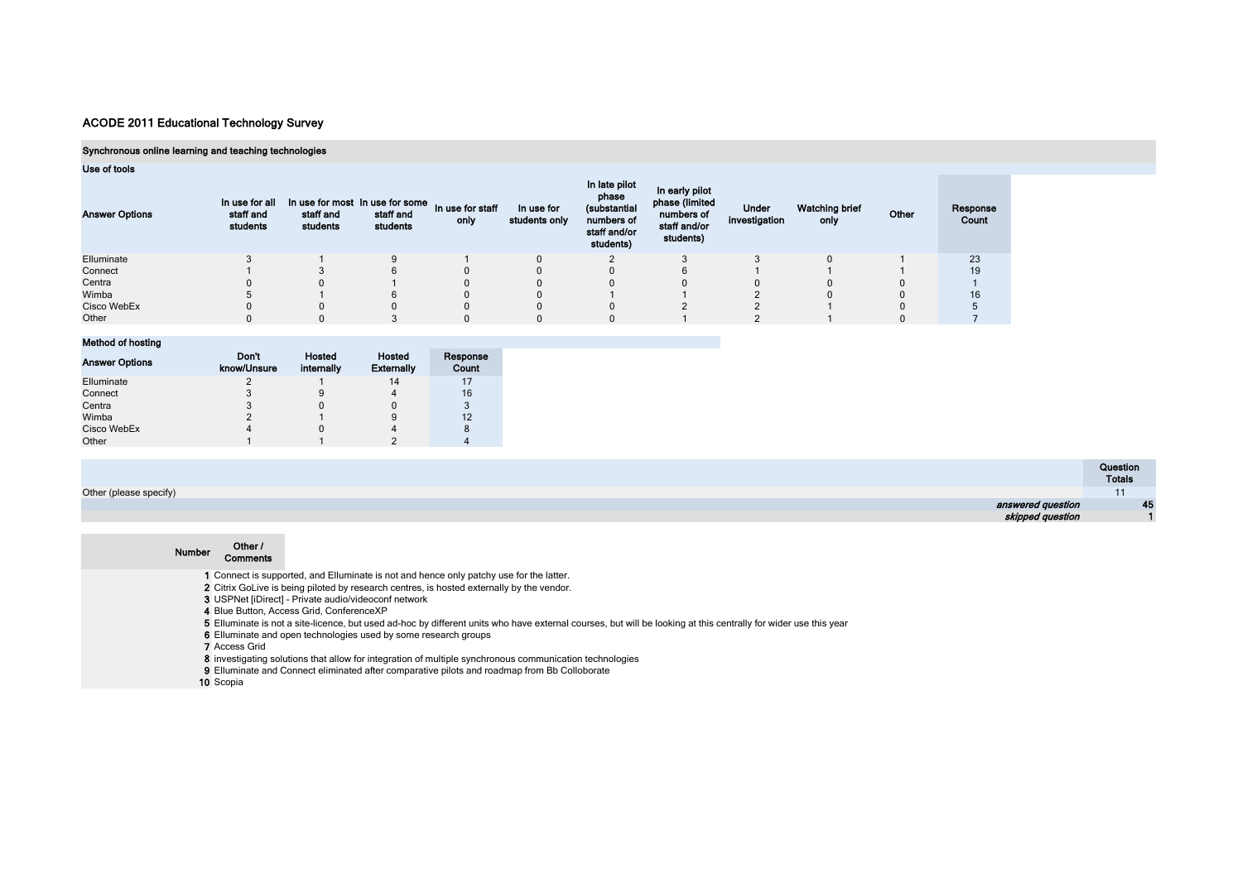## Synchronous online learning and teaching technologies

## Use of tools

| <b>Answer Options</b> | In use for all<br>staff and<br>students | In use for most In use for some<br>staff and<br>students | staff and<br>students | In use for staff<br>only | In use for<br>students only | In late pilot<br>phase<br>(substantial<br>numbers of<br>staff and/or<br>students) | In early pilot<br>phase (limited<br>numbers of<br>staff and/or<br>students) | <b>Under</b><br>investigation | <b>Watching brief</b><br>only | Other | Response<br>Count |
|-----------------------|-----------------------------------------|----------------------------------------------------------|-----------------------|--------------------------|-----------------------------|-----------------------------------------------------------------------------------|-----------------------------------------------------------------------------|-------------------------------|-------------------------------|-------|-------------------|
| Elluminate            |                                         |                                                          |                       |                          |                             |                                                                                   |                                                                             |                               |                               |       | 23                |
| Connect               |                                         |                                                          |                       |                          |                             |                                                                                   |                                                                             |                               |                               |       | 19                |
| Centra                |                                         |                                                          |                       |                          |                             |                                                                                   |                                                                             |                               |                               |       |                   |
| Wimba                 |                                         |                                                          |                       |                          |                             |                                                                                   |                                                                             |                               |                               |       | 16 <sup>1</sup>   |
| Cisco WebEx           |                                         |                                                          |                       |                          |                             |                                                                                   |                                                                             |                               |                               |       |                   |
| Other                 |                                         |                                                          |                       |                          |                             |                                                                                   |                                                                             |                               |                               |       |                   |

## Method of hosting

| <b>Answer Options</b> | Don't<br>know/Unsure | Hosted<br>internally | <b>Hosted</b><br><b>Externally</b> | Response<br>Count |
|-----------------------|----------------------|----------------------|------------------------------------|-------------------|
| Elluminate            |                      |                      | 14                                 | 17                |
| Connect               |                      | 9                    |                                    | 16                |
| Centra                |                      | 0                    |                                    | 3                 |
| Wimba                 |                      |                      |                                    | 12                |
| Cisco WebEx           |                      | 0                    |                                    | 8                 |
| Other                 |                      |                      |                                    |                   |

|                        | Question<br><b>Totals</b> |
|------------------------|---------------------------|
| Other (please specify) |                           |
| answered question      | 45                        |
| skipped question       |                           |
|                        |                           |

| <b>Number</b> | Other /<br><b>Comments</b>                                                                                                                                      |
|---------------|-----------------------------------------------------------------------------------------------------------------------------------------------------------------|
|               | 1 Connect is supported, and Elluminate is not and hence only patchy use for the latter.                                                                         |
|               | 2 Citrix GoLive is being piloted by research centres, is hosted externally by the vendor.                                                                       |
|               | 3 USPNet [iDirect] - Private audio/videoconf network                                                                                                            |
|               | 4 Blue Button, Access Grid, ConferenceXP                                                                                                                        |
|               | 5 Elluminate is not a site-licence, but used ad-hoc by different units who have external courses, but will be looking at this centrally for wider use this year |
|               | 6 Elluminate and open technologies used by some research groups                                                                                                 |
|               | <b>7</b> Access Grid                                                                                                                                            |
|               | 8 investigating solutions that allow for integration of multiple synchronous communication technologies                                                         |
|               | 9 Elluminate and Connect eliminated after comparative pilots and roadmap from Bb Colloborate                                                                    |
|               | 10 Scopia                                                                                                                                                       |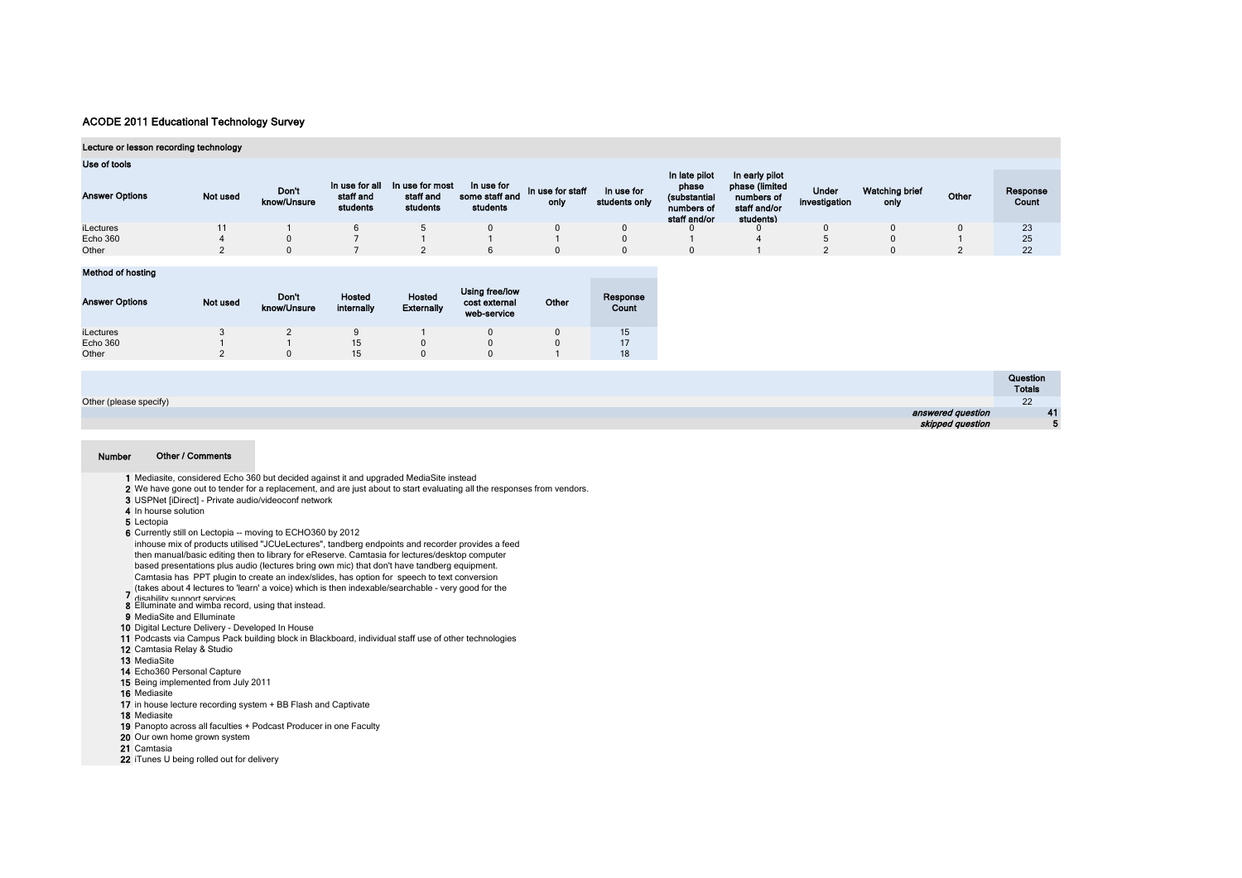#### Lecture or lesson recording technology

| Use of tools          |          |                      |                                         |                                          |                                          |                          |                             |                                                                      |                                                                             |                        |                        |       |                          |
|-----------------------|----------|----------------------|-----------------------------------------|------------------------------------------|------------------------------------------|--------------------------|-----------------------------|----------------------------------------------------------------------|-----------------------------------------------------------------------------|------------------------|------------------------|-------|--------------------------|
| <b>Answer Options</b> | Not used | Don't<br>know/Unsure | In use for all<br>staff and<br>students | In use for most<br>staff and<br>students | In use for<br>some staff and<br>students | In use for staff<br>only | In use for<br>students only | In late pilot<br>phase<br>(substantial<br>numbers of<br>staff and/or | In early pilot<br>phase (limited<br>numbers of<br>staff and/or<br>students) | Under<br>investigation | Watching brief<br>only | Other | Response<br><b>Count</b> |
| iLectures             |          |                      |                                         |                                          |                                          |                          |                             |                                                                      |                                                                             |                        |                        |       | 23                       |
| Echo 360              |          |                      |                                         |                                          |                                          |                          |                             |                                                                      |                                                                             |                        |                        |       | 25                       |
| Other                 |          |                      |                                         |                                          |                                          |                          |                             |                                                                      |                                                                             |                        |                        |       | 22                       |

#### Method of hosting

| <b>Answer Options</b> | Not used | Don't<br>know/Unsure | <b>Hosted</b><br>internally | Hosted<br><b>Externally</b> | Using free/low<br>cost external<br>web-service | Other | Response<br>Count |
|-----------------------|----------|----------------------|-----------------------------|-----------------------------|------------------------------------------------|-------|-------------------|
| iLectures             |          |                      |                             |                             |                                                |       | 15                |
| Echo 360              |          |                      | 15                          | U                           |                                                |       |                   |
| Other                 |          |                      | 15                          |                             |                                                |       | 18                |

|                        | Question<br><b>Totals</b> |
|------------------------|---------------------------|
| Other (please specify) | $^{22}$                   |
| answered question      | 41                        |
| skipped question       |                           |

#### Number Other / Comments

- 1 Mediasite, considered Echo 360 but decided against it and upgraded MediaSite instead
- 2 We have gone out to tender for a replacement, and are just about to start evaluating all the responses from vendors.
- 3 USPNet [iDirect] Private audio/videoconf network
- 4 In hourse solution
- 5 Lectopia
- 6 Currently still on Lectopia -- moving to ECHO360 by 2012
- inhouse mix of products utilised "JCUeLectures", tandberg endpoints and recorder provides a feed then manual/basic editing then to library for eReserve. Camtasia for lectures/desktop computer based presentations plus audio (lectures bring own mic) that don't have tandberg equipment. Camtasia has PPT plugin to create an index/slides, has option for speech to text conversion
- (takes about 4 lectures to 'learn' a voice) which is then indexable/searchable very good for the<br>disability support services
- 7 **His phility cunnot convince**<br>8 Elluminate and wimba record, using that instead.
- 
- 9 MediaSite and Elluminate
- 10 Digital Lecture Delivery Developed In House
- 11 Podcasts via Campus Pack building block in Blackboard, individual staff use of other technologies
- 12 Camtasia Relay & Studio
- 13 MediaSite
- 14 Echo360 Personal Capture
- 15 Being implemented from July 2011
- 16 Mediasite
- 17 in house lecture recording system + BB Flash and Captivate
- 18 Mediasite
- 19 Panopto across all faculties + Podcast Producer in one Faculty
- 20 Our own home grown system
- 21 Camtasia
- 22 iTunes U being rolled out for delivery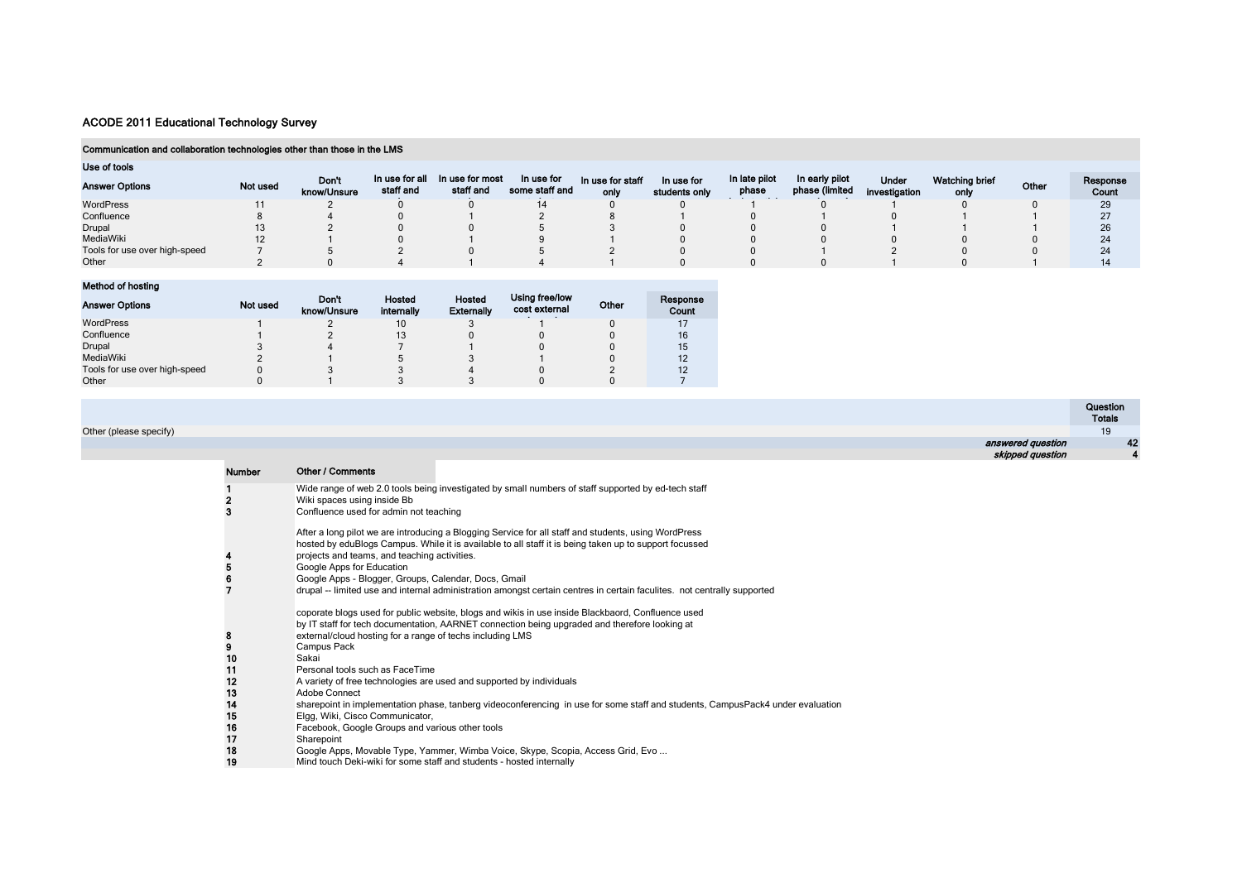#### Communication and collaboration technologies other than those in the LMS

| Use of tools                  |          |                      |                             |                              |                              |                          |                             |                        |                                  |                               |                        |       |                   |
|-------------------------------|----------|----------------------|-----------------------------|------------------------------|------------------------------|--------------------------|-----------------------------|------------------------|----------------------------------|-------------------------------|------------------------|-------|-------------------|
| <b>Answer Options</b>         | Not used | Don't<br>know/Unsure | In use for all<br>staff and | In use for most<br>staff and | In use for<br>some staff and | In use for staff<br>only | In use for<br>students only | In late pilot<br>phase | In early pilot<br>phase (limited | <b>Under</b><br>investigation | Watching brief<br>only | Other | Response<br>Count |
| WordPress                     |          |                      |                             |                              |                              |                          |                             |                        |                                  |                               |                        |       | 29                |
| Confluence                    |          |                      |                             |                              |                              |                          |                             |                        |                                  |                               |                        |       |                   |
| Drupal                        |          |                      |                             |                              |                              |                          |                             |                        |                                  |                               |                        |       | 26                |
| MediaWiki                     |          |                      |                             |                              |                              |                          |                             |                        |                                  |                               |                        |       | 24                |
| Tools for use over high-speed |          |                      |                             |                              |                              |                          |                             |                        |                                  |                               |                        |       | 24                |
| Other                         |          |                      |                             |                              |                              |                          |                             |                        |                                  |                               |                        |       | 14                |

## Method of hosting

| <b>Answer Options</b>         | Not used | Don't<br>know/Unsure | Hosted<br>internally | Hosted<br><b>Externally</b> | Using free/low<br>cost external | Other | Response<br>Count |
|-------------------------------|----------|----------------------|----------------------|-----------------------------|---------------------------------|-------|-------------------|
| WordPress                     |          |                      | 10                   |                             |                                 |       |                   |
| Confluence                    |          |                      | 13                   |                             |                                 |       | 16                |
| Drupal                        |          |                      |                      |                             |                                 |       | 15                |
| MediaWiki                     |          |                      |                      |                             |                                 |       | 12                |
| Tools for use over high-speed |          |                      |                      |                             |                                 |       | 12                |
| Other                         |          |                      |                      |                             |                                 |       |                   |

|                        |                   | Question<br><b>Totals</b> |
|------------------------|-------------------|---------------------------|
| Other (please specify) |                   | 19                        |
|                        | answered question | 42                        |
|                        | skipped question  |                           |
|                        |                   |                           |

| <b>Number</b>       | Other / Comments                                                                                                                                                                                                                                                                                                                                                                                                                                                               |
|---------------------|--------------------------------------------------------------------------------------------------------------------------------------------------------------------------------------------------------------------------------------------------------------------------------------------------------------------------------------------------------------------------------------------------------------------------------------------------------------------------------|
| $\overline{2}$<br>3 | Wide range of web 2.0 tools being investigated by small numbers of staff supported by ed-tech staff<br>Wiki spaces using inside Bb<br>Confluence used for admin not teaching                                                                                                                                                                                                                                                                                                   |
| $\frac{4}{5}$<br>6  | After a long pilot we are introducing a Blogging Service for all staff and students, using WordPress<br>hosted by eduBlogs Campus. While it is available to all staff it is being taken up to support focussed<br>projects and teams, and teaching activities.<br>Google Apps for Education<br>Google Apps - Blogger, Groups, Calendar, Docs, Gmail<br>drupal -- limited use and internal administration amongst certain centres in certain faculites. not centrally supported |
| $\frac{8}{9}$<br>10 | coporate blogs used for public website, blogs and wikis in use inside Blackbaord, Confluence used<br>by IT staff for tech documentation, AARNET connection being upgraded and therefore looking at<br>external/cloud hosting for a range of techs including LMS<br>Campus Pack<br>Sakai                                                                                                                                                                                        |
| 11                  | Personal tools such as FaceTime                                                                                                                                                                                                                                                                                                                                                                                                                                                |
| 12                  | A variety of free technologies are used and supported by individuals                                                                                                                                                                                                                                                                                                                                                                                                           |
| 13                  | Adobe Connect                                                                                                                                                                                                                                                                                                                                                                                                                                                                  |
| 14                  | sharepoint in implementation phase, tanberg videoconferencing in use for some staff and students, CampusPack4 under evaluation                                                                                                                                                                                                                                                                                                                                                 |
| 15                  | Elgg, Wiki, Cisco Communicator,                                                                                                                                                                                                                                                                                                                                                                                                                                                |
| 16<br>17            | Facebook, Google Groups and various other tools<br>Sharepoint                                                                                                                                                                                                                                                                                                                                                                                                                  |
| 18                  | Google Apps, Movable Type, Yammer, Wimba Voice, Skype, Scopia, Access Grid, Evo                                                                                                                                                                                                                                                                                                                                                                                                |
| 19                  | Mind touch Deki-wiki for some staff and students - hosted internally                                                                                                                                                                                                                                                                                                                                                                                                           |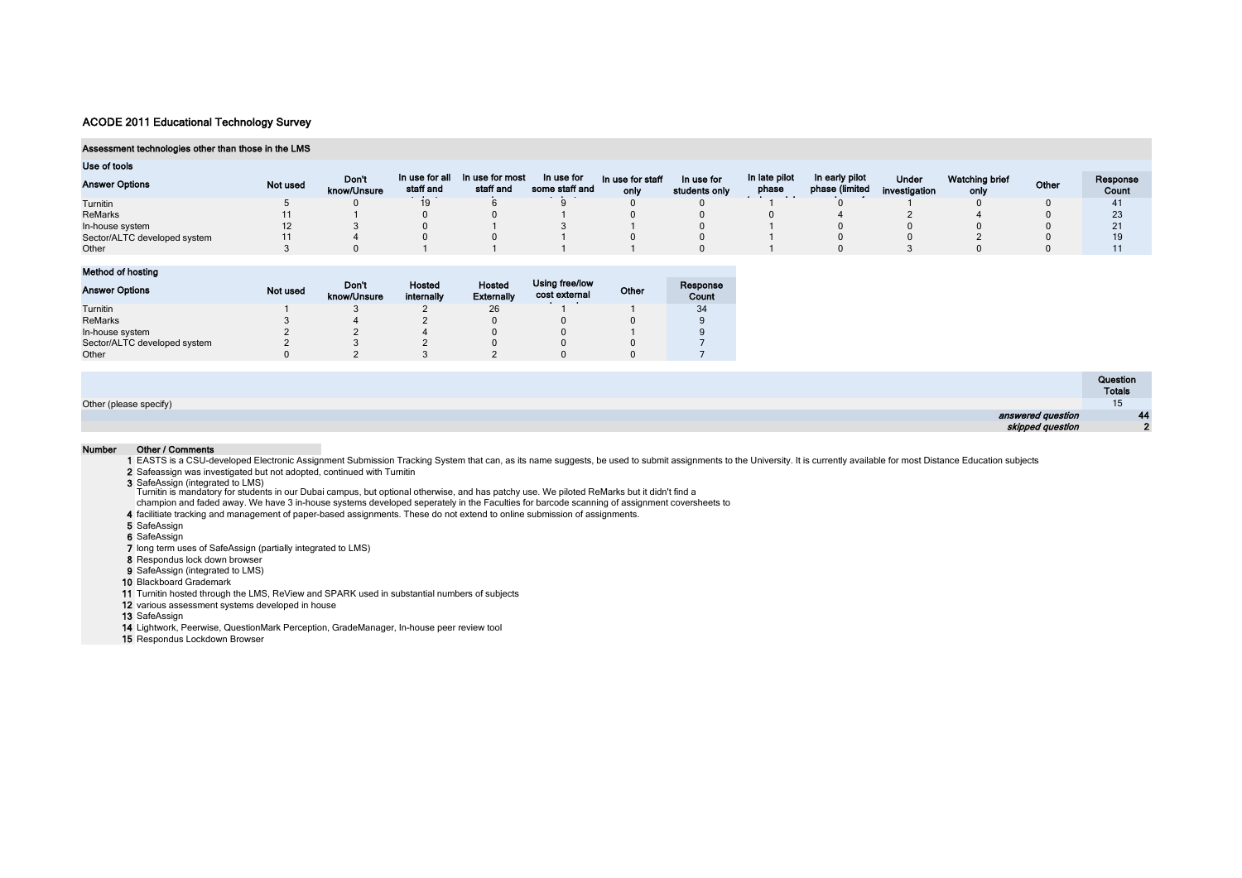#### Assessment technologies other than those in the LMS

| Use of tools                 |          |                      |                             |                              |                              |                          |                             |                               |                                  |                        |                        |       |                   |
|------------------------------|----------|----------------------|-----------------------------|------------------------------|------------------------------|--------------------------|-----------------------------|-------------------------------|----------------------------------|------------------------|------------------------|-------|-------------------|
| <b>Answer Options</b>        | Not used | Don't<br>know/Unsure | In use for all<br>staff and | In use for most<br>staff and | In use for<br>some staff and | In use for staff<br>only | In use for<br>students only | In late pilot<br>phase<br>. . | In early pilot<br>phase (limited | Under<br>investigation | Watching brief<br>only | Other | Response<br>Count |
| Turnitin                     |          |                      | 19                          |                              |                              |                          |                             |                               |                                  |                        |                        |       | 41                |
| <b>ReMarks</b>               |          |                      |                             |                              |                              |                          |                             |                               |                                  |                        |                        |       | 23                |
| In-house system              | 12       |                      |                             |                              |                              |                          |                             |                               |                                  |                        |                        |       |                   |
| Sector/ALTC developed system |          |                      |                             |                              |                              |                          |                             |                               |                                  |                        |                        |       |                   |
| Other                        |          |                      |                             |                              |                              |                          |                             |                               |                                  |                        |                        |       |                   |

Method of hosting

| <b>Answer Options</b>        | Not used | Don't<br>know/Unsure | Hosted<br>internally | <b>Hosted</b><br><b>Externally</b> | Using free/low<br>cost external | Other | Response<br>Count |
|------------------------------|----------|----------------------|----------------------|------------------------------------|---------------------------------|-------|-------------------|
| Turnitin                     |          |                      |                      | 26                                 |                                 |       | 34                |
| ReMarks                      |          |                      |                      |                                    |                                 |       |                   |
| In-house system              |          |                      |                      |                                    |                                 |       |                   |
| Sector/ALTC developed system |          |                      |                      |                                    |                                 |       |                   |
| Other                        |          |                      |                      |                                    |                                 |       |                   |

|                        | Question      |
|------------------------|---------------|
|                        | <b>Totals</b> |
| Other (please specify) | יי            |
| answered question      | 44            |
| skipped question       |               |

#### Number Other / Comments

1 EASTS is a CSU-developed Electronic Assignment Submission Tracking System that can, as its name suggests, be used to submit assignments to the University. It is currently available for most Distance Education subjects

2 Safeassign was investigated but not adopted, continued with Turnitin

3 SafeAssign (integrated to LMS)<br>Turnitin is mandatory for students in our Dubai campus, but optional otherwise, and has patchy use. We piloted ReMarks but it didn't find a<br>Champion and faded away. We have 3 in-house syste

4 facilitiate tracking and management of paper-based assignments. These do not extend to online submission of assignments.

5 SafeAssign

6 SafeAssign

7 long term uses of SafeAssign (partially integrated to LMS)

8 Respondus lock down browser

9 SafeAssign (integrated to LMS)

10 Blackboard Grademark

11 Turnitin hosted through the LMS, ReView and SPARK used in substantial numbers of subjects

12 various assessment systems developed in house

13 SafeAssign

14 Lightwork, Peerwise, QuestionMark Perception, GradeManager, In-house peer review tool

15 Respondus Lockdown Browser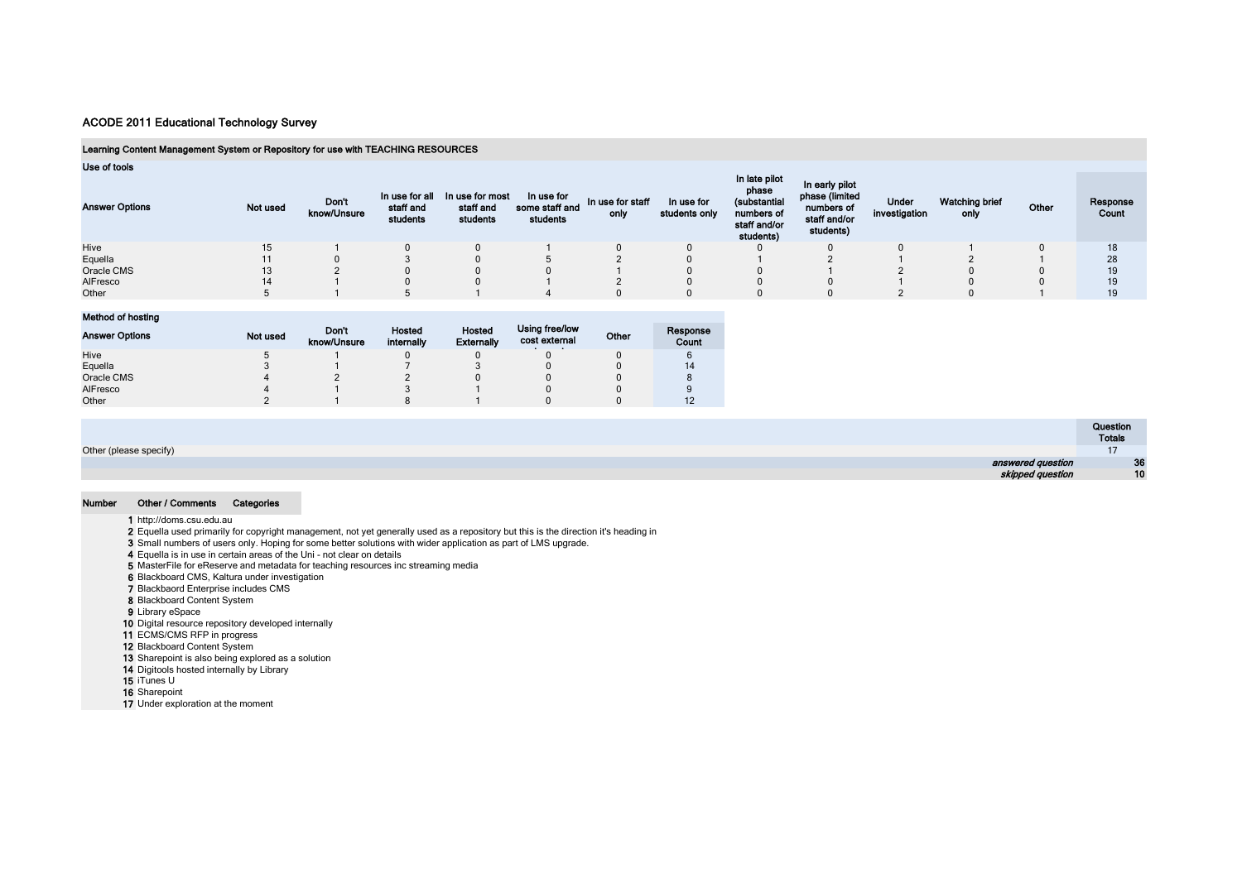## Learning Content Management System or Repository for use with TEACHING RESOURCES

| Use of tools |
|--------------|
|--------------|

| <b>Answer Options</b> | Not used | <b>Don't</b><br>know/Unsure | In use for all<br>staff and<br>students | In use for most<br>staff and<br>students | In use for<br>some staff and<br>students | In use for staff<br>only | In use for<br>students only | In late pilot<br>phase<br>(substantial<br>numbers of<br>staff and/or<br>students) | In early pilot<br>phase (limited<br>numbers of<br>staff and/or<br>students) | Under<br>investigation | <b>Watching brief</b><br>only | Other | Response<br>Count |
|-----------------------|----------|-----------------------------|-----------------------------------------|------------------------------------------|------------------------------------------|--------------------------|-----------------------------|-----------------------------------------------------------------------------------|-----------------------------------------------------------------------------|------------------------|-------------------------------|-------|-------------------|
| Hive                  | 15       |                             |                                         |                                          |                                          |                          |                             |                                                                                   |                                                                             |                        |                               |       | 18                |
| Equella               |          |                             |                                         |                                          |                                          |                          |                             |                                                                                   |                                                                             |                        |                               |       | 28                |
| Oracle CMS            |          |                             |                                         |                                          |                                          |                          |                             |                                                                                   |                                                                             |                        |                               |       | 19                |
| AlFresco              | 14       |                             |                                         |                                          |                                          |                          |                             |                                                                                   |                                                                             |                        |                               |       | 19                |
| Other                 |          |                             |                                         |                                          |                                          |                          |                             |                                                                                   |                                                                             |                        |                               |       | 19                |

#### Method of hosting

| <b>Answer Options</b> | Not used | Don't<br>know/Unsure | Hosted<br>internally | Hosted<br><b>Externally</b> | Using free/low<br>cost external | Other | Response<br>Count |
|-----------------------|----------|----------------------|----------------------|-----------------------------|---------------------------------|-------|-------------------|
| Hive                  |          |                      |                      |                             |                                 |       |                   |
| Equella               |          |                      |                      |                             |                                 |       | 14                |
| Oracle CMS            |          |                      |                      |                             |                                 |       |                   |
| AlFresco              |          |                      |                      |                             |                                 |       |                   |
| Other                 |          |                      |                      |                             |                                 |       |                   |

|                        | Question<br><b>Totals</b> |
|------------------------|---------------------------|
| Other (please specify) | $\cdots$                  |
| answered question      | 36                        |
| skipped question       | 10                        |

#### Number Other / Comments Categories

1 http://doms.csu.edu.au

2 Equella used primarily for copyright management, not yet generally used as a repository but this is the direction it's heading in

3 Small numbers of users only. Hoping for some better solutions with wider application as part of LMS upgrade.

4 Equella is in use in certain areas of the Uni - not clear on details

5 MasterFile for eReserve and metadata for teaching resources inc streaming media 6 Blackboard CMS, Kaltura under investigation

7 Blackbaord Enterprise includes CMS

8 Blackboard Content System

9 Library eSpace

10 Digital resource repository developed internally

11 ECMS/CMS RFP in progress

12 Blackboard Content System

13 Sharepoint is also being explored as a solution

14 Digitools hosted internally by Library

15 iTunes U

16 Sharepoint

17 Under exploration at the moment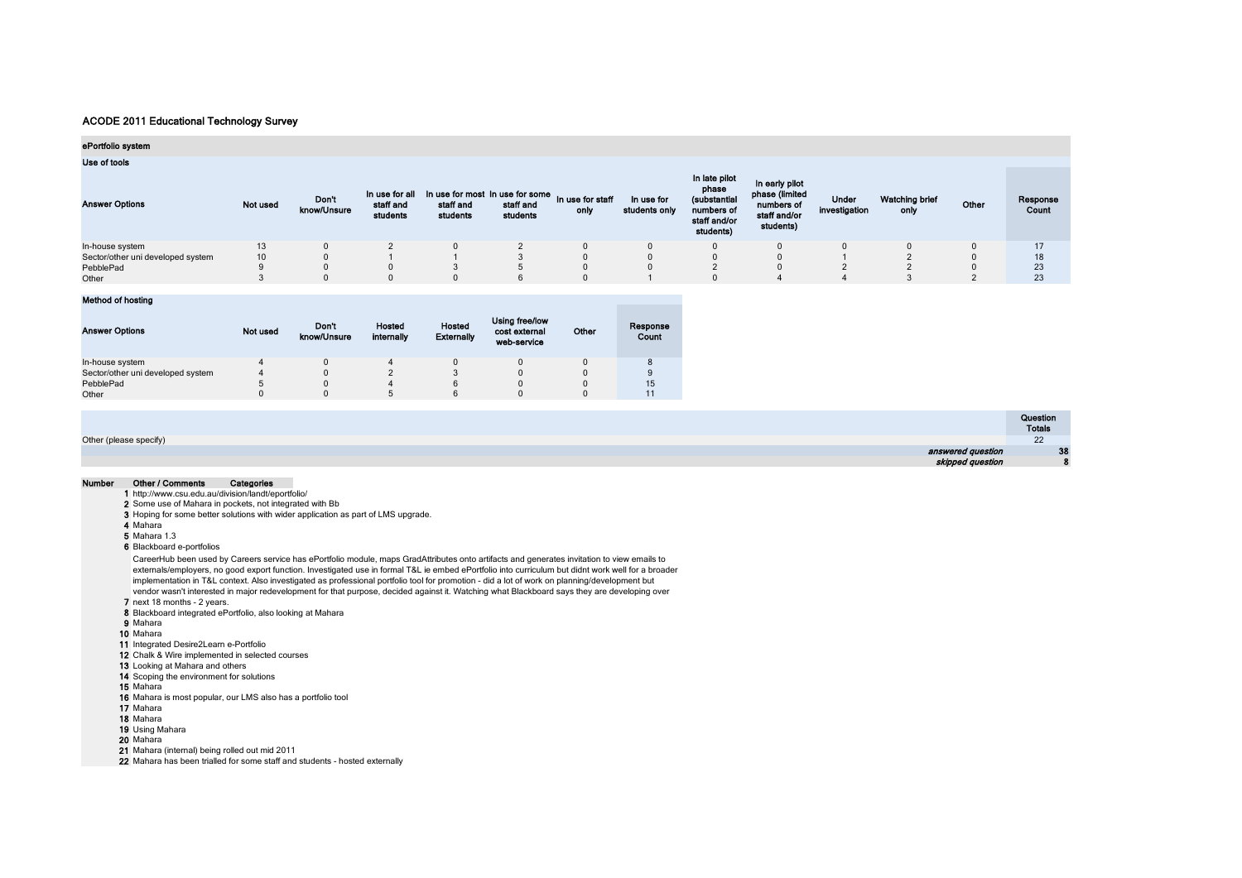## ePortfolio system

Use of tools

| <b>OUU UL NUULU</b><br><b>Answer Options</b> | Not used | Don't<br>know/Unsure | In use for all<br>staff and<br>students | In use for most in use for some in use for staff<br>staff and<br>students | staff and<br>students | only | In use for<br>students only | In late pilot<br>phase<br>(substantial<br>numbers of<br>staff and/or<br>students) | In early pilot<br>phase (limited<br>numbers of<br>staff and/or<br>students) | <b>Under</b><br>investigation | <b>Watching brief</b><br>only | Other | Response<br>Count |
|----------------------------------------------|----------|----------------------|-----------------------------------------|---------------------------------------------------------------------------|-----------------------|------|-----------------------------|-----------------------------------------------------------------------------------|-----------------------------------------------------------------------------|-------------------------------|-------------------------------|-------|-------------------|
| In-house system                              |          |                      |                                         |                                                                           |                       |      |                             |                                                                                   |                                                                             |                               |                               |       | 17                |
| Sector/other uni developed system            |          |                      |                                         |                                                                           |                       |      |                             |                                                                                   |                                                                             |                               |                               |       | 18                |
| PebblePad                                    |          |                      |                                         |                                                                           |                       |      |                             |                                                                                   |                                                                             |                               |                               |       | 23                |
| Other                                        |          |                      |                                         | u                                                                         |                       |      |                             |                                                                                   |                                                                             |                               |                               |       | 23                |

## Method of hosting

| <b>Answer Options</b>             | Not used | Don't<br>know/Unsure | Hosted<br>internally | Hosted<br><b>Externally</b> | Using free/low<br>cost external<br>web-service | Other | Response<br>Count |
|-----------------------------------|----------|----------------------|----------------------|-----------------------------|------------------------------------------------|-------|-------------------|
| In-house system                   |          |                      |                      |                             |                                                |       |                   |
| Sector/other uni developed system | 4        |                      |                      |                             | 0                                              |       | 9                 |
| PebblePad                         |          |                      |                      |                             | $\Omega$                                       |       | 15                |
| Other                             |          |                      |                      |                             |                                                |       |                   |

|                        | Question          |
|------------------------|-------------------|
|                        | <b>Totals</b>     |
| Other (please specify) | 22                |
| answered question      | <b>CONTRACTOR</b> |
| skipped question       |                   |

#### Number Other / Comments Categories

1 http://www.csu.edu.au/division/landt/eportfolio/

2 Some use of Mahara in pockets, not integrated with Bb

3 Hoping for some better solutions with wider application as part of LMS upgrade.

4 Mahara

5 Mahara 1.3

6 Blackboard e-portfolios

CareerHub been used by Careers service has ePortfolio module, maps GradAttributes onto artifacts and generates invitation to view emails to externals/employers, no good export function. Investigated use in formal T&L ie embed ePortfolio into curriculum but didnt work well for a broader implementation in T&L context. Also investigated as professional portfolio tool for promotion - did a lot of work on planning/development but vendor wasn't interested in major redevelopment for that purpose, decided against it. Watching what Blackboard says they are developing over

7 next 18 months - 2 years.

8 Blackboard integrated ePortfolio, also looking at Mahara

- 9 Mahara
- 10 Mahara
- 11 Integrated Desire2Learn e-Portfolio
- 12 Chalk & Wire implemented in selected courses
- 13 Looking at Mahara and others
- 14 Scoping the environment for solutions
- 15 Mahara
- 16 Mahara is most popular, our LMS also has a portfolio tool
- 17 Mahara
- 18 Mahara
- 19 Using Mahara

20 Mahara

21 Mahara (internal) being rolled out mid 2011

22 Mahara has been trialled for some staff and students - hosted externally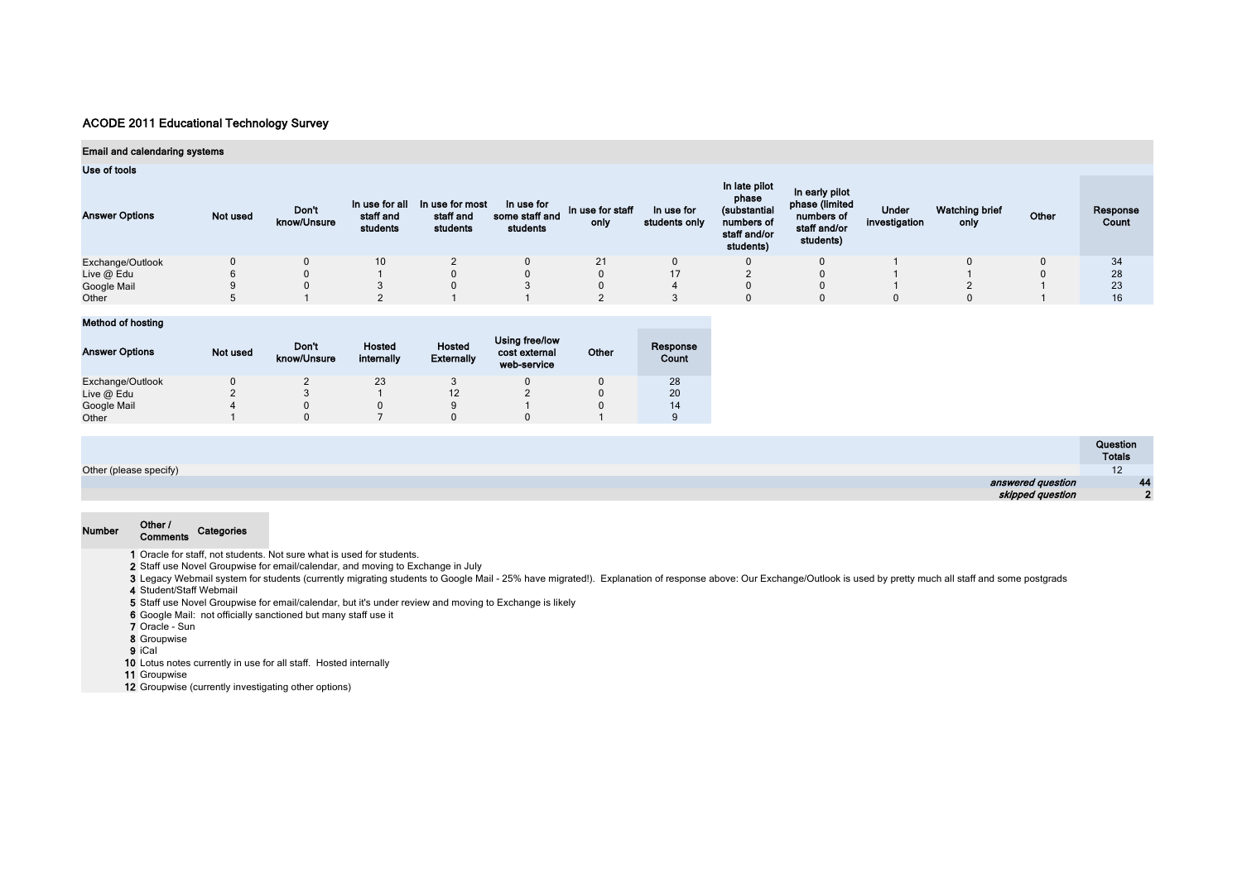## Email and calendaring systems

#### Use of tools

| <b>Answer Options</b> | Not used | Don't<br>know/Unsure | In use for all<br>staff and<br>students | In use for most<br>staff and<br>students | In use for<br>some staff and<br>students | In use for staff<br>only | In use for<br>students only | In late pilot<br>phase<br>(substantial<br>numbers of<br>staff and/or<br>students) | In early pilot<br>phase (limited<br>numbers of<br>staff and/or<br>students) | Under<br>investigation | <b>Watching brief</b><br>only | Other | Response<br>Count |
|-----------------------|----------|----------------------|-----------------------------------------|------------------------------------------|------------------------------------------|--------------------------|-----------------------------|-----------------------------------------------------------------------------------|-----------------------------------------------------------------------------|------------------------|-------------------------------|-------|-------------------|
| Exchange/Outlook      |          |                      | 10 <sup>°</sup>                         |                                          |                                          | 21                       |                             |                                                                                   |                                                                             |                        |                               |       | 34                |
| Live @ Edu            |          |                      |                                         |                                          |                                          |                          | $-1$                        |                                                                                   |                                                                             |                        |                               |       | 28                |
| Google Mail           |          |                      |                                         |                                          |                                          |                          |                             |                                                                                   |                                                                             |                        |                               |       | 23                |
| Other                 |          |                      |                                         |                                          |                                          |                          |                             |                                                                                   |                                                                             |                        |                               |       | 16                |

## Method of hosting

| <b>Answer Options</b> | Not used | Don't<br>know/Unsure | Hosted<br>internally | Hosted<br><b>Externally</b> | Using free/low<br>cost external<br>web-service | Other | Response<br>Count |
|-----------------------|----------|----------------------|----------------------|-----------------------------|------------------------------------------------|-------|-------------------|
| Exchange/Outlook      |          |                      | 23                   |                             |                                                |       | 28                |
| Live $@$ Edu          |          |                      |                      | 12                          |                                                |       | 20                |
| Google Mail           |          |                      |                      | 9                           |                                                |       | 14                |
| Other                 |          |                      |                      |                             |                                                |       |                   |

|                        | Question<br>Totals  |
|------------------------|---------------------|
| Other (please specify) | $\overline{a}$<br>L |
| answered question      | $\overline{A}$<br>÷ |
| skipped question       | n                   |

# Number Other / Comments Categories

1 Oracle for staff, not students. Not sure what is used for students.

- 2 Staff use Novel Groupwise for email/calendar, and moving to Exchange in July
- 3 Legacy Webmail system for students (currently migrating students to Google Mail 25% have migrated!). Explanation of response above: Our Exchange/Outlook is used by pretty much all staff and some postgrads

4 Student/Staff Webmail

5 Staff use Novel Groupwise for email/calendar, but it's under review and moving to Exchange is likely

- 6 Google Mail: not officially sanctioned but many staff use it
- 7 Oracle Sun
- 8 Groupwise
- 9 iCal
- 10 Lotus notes currently in use for all staff. Hosted internally

11 Groupwise

12 Groupwise (currently investigating other options)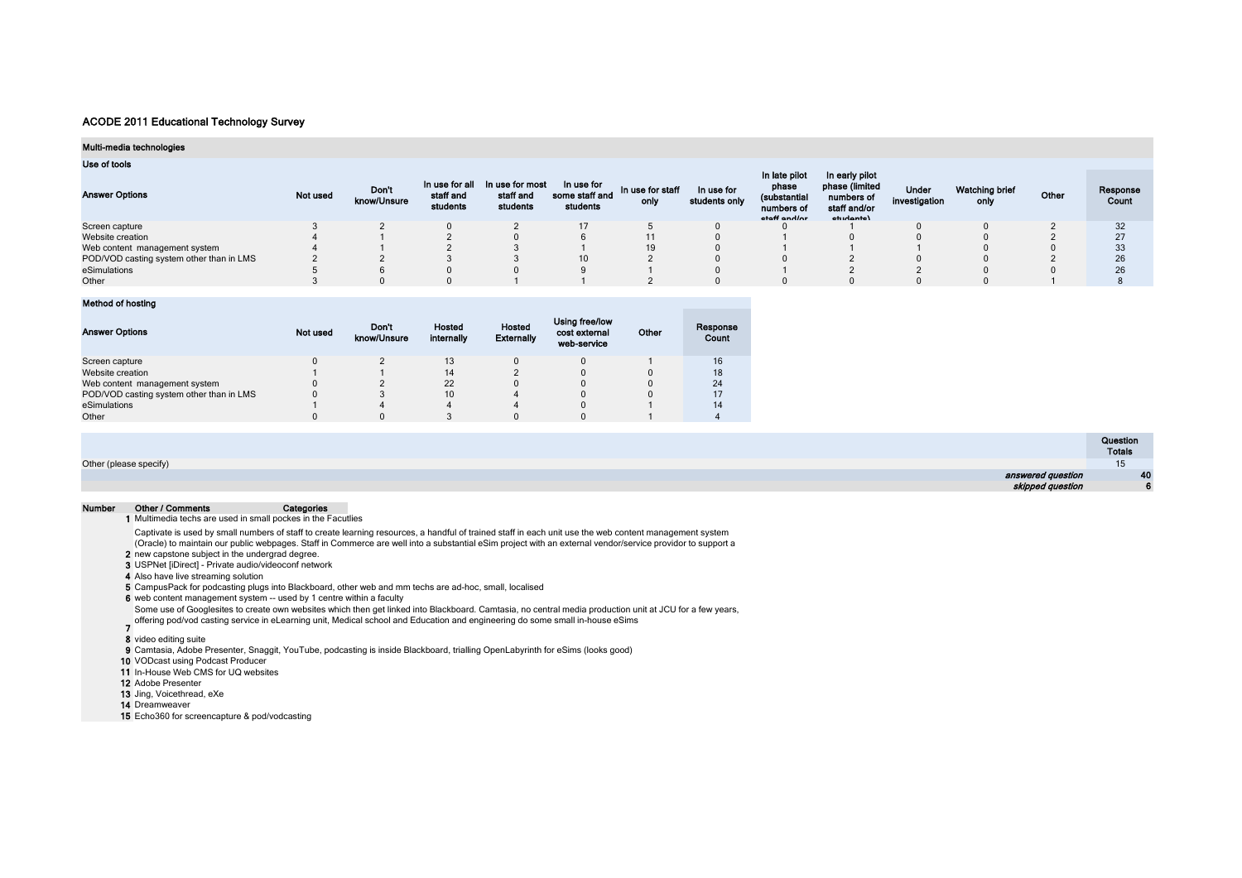#### Multi-media technologies

#### Use of tools

| <b>Answer Options</b>                    | Not used | Don't<br>know/Unsure | In use for all<br>staff and<br>students | In use for most<br>staff and<br>students | In use for<br>some staff and<br>students | In use for staff<br>only | In use for<br>students only | In late pilot<br>phase<br>(substantial<br>numbers of<br>staff and/or | In early pilot<br>phase (limited<br>numbers of<br>staff and/or<br>cturionte) | <b>Under</b><br>investigation | Watching brief<br>only | Other | Response<br>Count |
|------------------------------------------|----------|----------------------|-----------------------------------------|------------------------------------------|------------------------------------------|--------------------------|-----------------------------|----------------------------------------------------------------------|------------------------------------------------------------------------------|-------------------------------|------------------------|-------|-------------------|
| Screen capture                           |          |                      |                                         |                                          |                                          |                          |                             |                                                                      |                                                                              |                               |                        |       |                   |
| Website creation                         |          |                      |                                         |                                          |                                          |                          |                             |                                                                      |                                                                              |                               |                        |       | 27                |
| Web content management system            |          |                      |                                         |                                          |                                          | 19                       |                             |                                                                      |                                                                              |                               |                        |       | 33                |
| POD/VOD casting system other than in LMS |          |                      |                                         |                                          |                                          |                          |                             |                                                                      |                                                                              |                               |                        |       | 26                |
| eSimulations                             |          |                      |                                         |                                          |                                          |                          |                             |                                                                      |                                                                              |                               |                        |       | 26                |
| Other                                    |          |                      |                                         |                                          |                                          |                          |                             |                                                                      |                                                                              |                               |                        |       |                   |

## Method of hosting

| <b>Answer Options</b>                    | Not used | Don't<br>know/Unsure | Hosted<br>internally | Hosted<br><b>Externally</b> | Using free/low<br>cost external<br>web-service | Other | Response<br>Count |
|------------------------------------------|----------|----------------------|----------------------|-----------------------------|------------------------------------------------|-------|-------------------|
| Screen capture                           |          |                      | 13                   |                             |                                                |       | 16                |
| Website creation                         |          |                      | 14                   |                             |                                                |       | 18                |
| Web content management system            |          |                      | 22                   |                             |                                                |       | 24                |
| POD/VOD casting system other than in LMS |          |                      | 10                   |                             |                                                |       | 17                |
| eSimulations                             |          |                      |                      |                             |                                                |       | 14                |
| Other                                    |          |                      |                      |                             |                                                |       |                   |

|                        | Question<br>Totals |
|------------------------|--------------------|
| Other (please specify) |                    |
| answered question      | 40                 |
| skipped question       |                    |

#### Number Other / Comments Categories

1 Multimedia techs are used in small pockes in the Facutlies

- Captivate is used by small numbers of staff to create learning resources, a handful of trained staff in each unit use the web content management system
- (Oracle) to maintain our public webpages. Staff in Commerce are well into a substantial eSim project with an external vendor/service providor to support a
- 2 new capstone subject in the undergrad degree.
- 3 USPNet [iDirect] Private audio/videoconf network
- 4 Also have live streaming solution
- 5 CampusPack for podcasting plugs into Blackboard, other web and mm techs are ad-hoc, small, localised
- 6 web content management system -- used by 1 centre within a faculty
- Some use of Googlesites to create own websites which then get linked into Blackboard. Camtasia, no central media production unit at JCU for a few years,
- 7 offering pod/vod casting service in eLearning unit, Medical school and Education and engineering do some small in-house eSims
- 8 video editing suite
- 9 Camtasia, Adobe Presenter, Snaggit, YouTube, podcasting is inside Blackboard, trialling OpenLabyrinth for eSims (looks good)
- 10 VODcast using Podcast Producer
- 11 In-House Web CMS for UQ websites
- 12 Adobe Presenter
- 13 Jing, Voicethread, eXe
- 14 Dreamweaver
- 15 Echo360 for screencapture & pod/vodcasting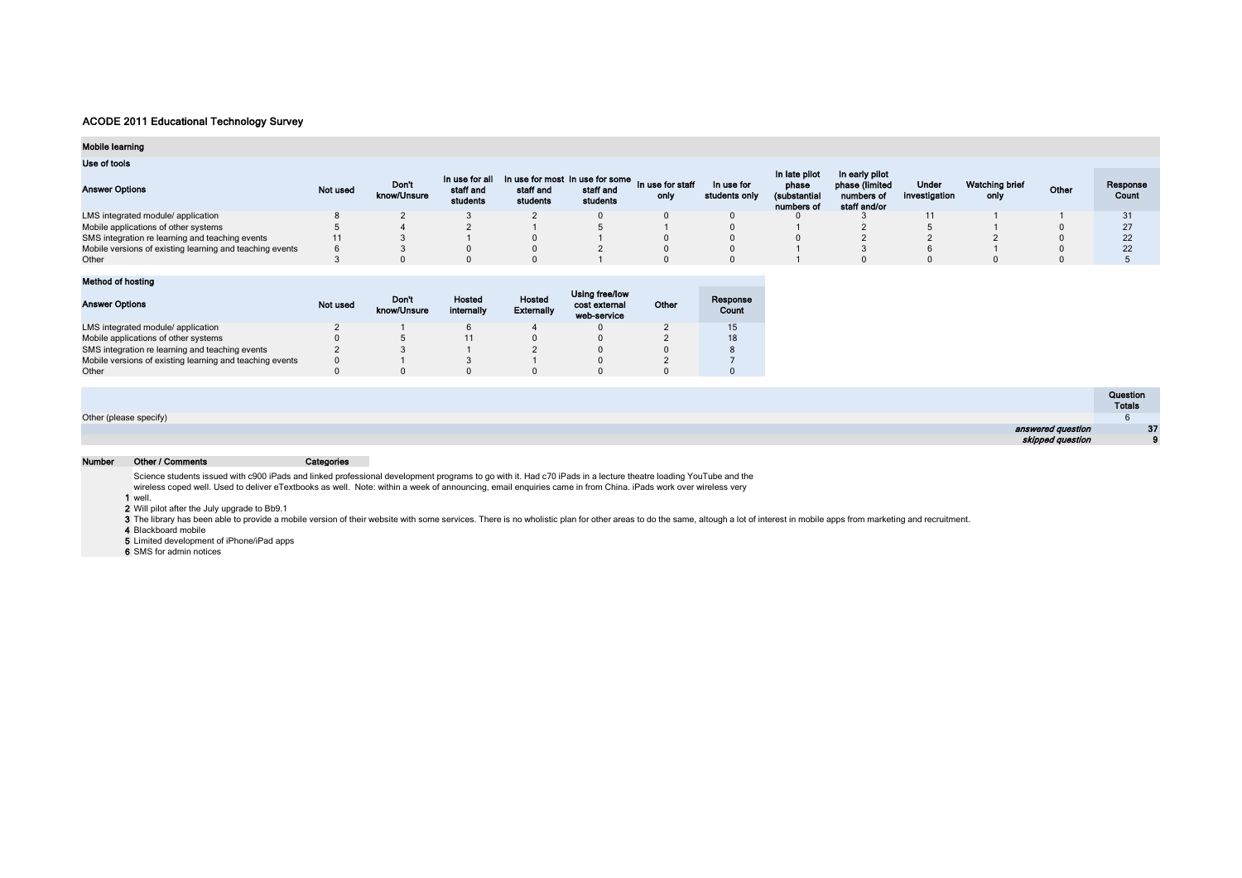## Mobile learning

## Use of tools

| <b>Answer Options</b>                                    | Not used | <b>Don't</b><br>know/Unsure | In use for all<br>staff and<br>students | and In use for most In use for some In use for staff<br>staff and<br>students | staff and<br>students | only | In use for<br>students only | In late pilot<br>phase<br>(substantial<br>numbers of | In early pilot<br>phase (limited<br>numbers of<br>staff and/or | Under<br>investigation | Watching brief<br>only | Other | Response<br>Count |
|----------------------------------------------------------|----------|-----------------------------|-----------------------------------------|-------------------------------------------------------------------------------|-----------------------|------|-----------------------------|------------------------------------------------------|----------------------------------------------------------------|------------------------|------------------------|-------|-------------------|
| LMS integrated module/ application                       |          |                             |                                         |                                                                               |                       |      |                             |                                                      |                                                                |                        |                        |       |                   |
| Mobile applications of other systems                     |          |                             |                                         |                                                                               |                       |      |                             |                                                      |                                                                |                        |                        |       |                   |
| SMS integration re learning and teaching events          | 11       |                             |                                         |                                                                               |                       |      |                             |                                                      |                                                                |                        |                        |       |                   |
| Mobile versions of existing learning and teaching events |          |                             |                                         |                                                                               |                       |      |                             |                                                      |                                                                |                        |                        |       |                   |
| Other                                                    |          |                             |                                         |                                                                               |                       |      |                             |                                                      |                                                                |                        |                        |       |                   |

| Method of hosting                                        |          |                      |                      |                             |                                                |       |                   |
|----------------------------------------------------------|----------|----------------------|----------------------|-----------------------------|------------------------------------------------|-------|-------------------|
| <b>Answer Options</b>                                    | Not used | Don't<br>know/Unsure | Hosted<br>internally | Hosted<br><b>Externally</b> | Using free/low<br>cost external<br>web-service | Other | Response<br>Count |
| LMS integrated module/ application                       |          |                      |                      |                             |                                                |       | 15                |
| Mobile applications of other systems                     |          |                      |                      |                             |                                                |       | 18                |
| SMS integration re learning and teaching events          |          |                      |                      |                             |                                                |       |                   |
| Mobile versions of existing learning and teaching events |          |                      |                      |                             |                                                |       |                   |
| Other                                                    |          |                      |                      |                             |                                                |       |                   |

|                        | Question<br>Totals |
|------------------------|--------------------|
| Other (please specify) |                    |
| answered question      | 37                 |
| skipped question       |                    |

#### Number Other / Comments Categories

Science students issued with c900 iPads and linked professional development programs to go with it. Had c70 iPads in a lecture theatre loading YouTube and the wireless coped well. Used to deliver eTextbooks as well. Note: within a week of announcing, email enquiries came in from China. iPads work over wireless very

**1** well.<br>**2** Will pilot after the July upgrade to Bb9.1

3 The library has been able to provide a mobile version of their website with some services. There is no wholistic plan for other areas to do the same, altough a lot of interest in mobile apps from marketing and recruitmen

4 Blackboard mobile

5 Limited development of iPhone/iPad apps

6 SMS for admin notices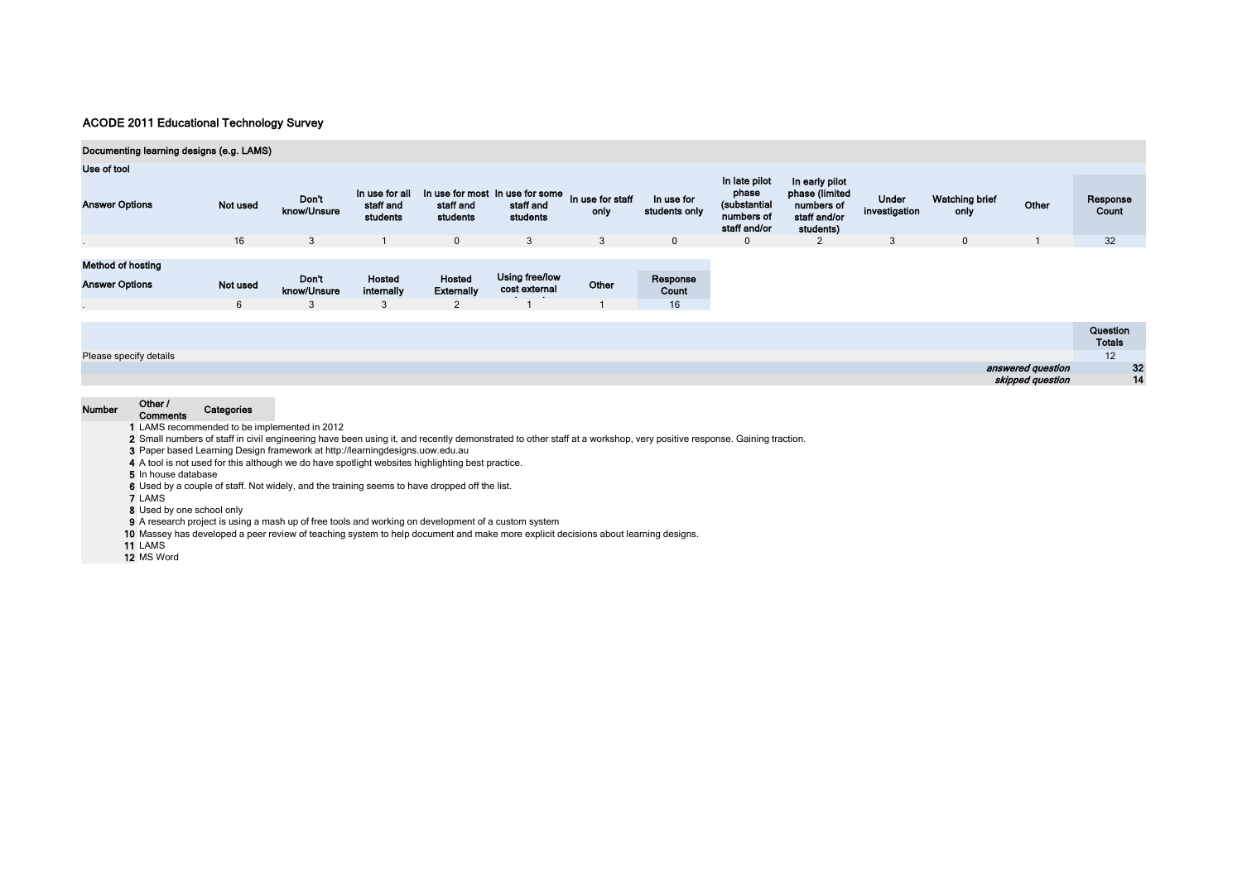| Documenting learning designs (e.g. LAMS) |          |                      |                                         |                             |                                                          |                          |                             |                                                                      |                                                                             |                        |                               |                   |                           |    |
|------------------------------------------|----------|----------------------|-----------------------------------------|-----------------------------|----------------------------------------------------------|--------------------------|-----------------------------|----------------------------------------------------------------------|-----------------------------------------------------------------------------|------------------------|-------------------------------|-------------------|---------------------------|----|
| Use of tool                              |          |                      |                                         |                             |                                                          |                          |                             |                                                                      |                                                                             |                        |                               |                   |                           |    |
| <b>Answer Options</b>                    | Not used | Don't<br>know/Unsure | In use for all<br>staff and<br>students | staff and<br>students       | In use for most In use for some<br>staff and<br>students | In use for staff<br>only | In use for<br>students only | In late pilot<br>phase<br>(substantial<br>numbers of<br>staff and/or | In early pilot<br>phase (limited<br>numbers of<br>staff and/or<br>students) | Under<br>investigation | <b>Watching brief</b><br>only | Other             | Response<br>Count         |    |
|                                          | 16       | 3                    |                                         | $\overline{0}$              | $\mathbf{3}$                                             | 3                        | $\mathbf 0$                 | $\mathbf{0}$                                                         | 2                                                                           | 3                      | $\mathbf 0$                   |                   | 32                        |    |
|                                          |          |                      |                                         |                             |                                                          |                          |                             |                                                                      |                                                                             |                        |                               |                   |                           |    |
| <b>Method of hosting</b>                 |          |                      |                                         |                             |                                                          |                          |                             |                                                                      |                                                                             |                        |                               |                   |                           |    |
| <b>Answer Options</b>                    | Not used | Don't<br>know/Unsure | Hosted<br>internally                    | Hosted<br><b>Externally</b> | Using free/low<br>cost external                          | Other                    | Response<br>Count           |                                                                      |                                                                             |                        |                               |                   |                           |    |
|                                          | 6        | 3                    | 3                                       | 2                           |                                                          |                          | 16                          |                                                                      |                                                                             |                        |                               |                   |                           |    |
|                                          |          |                      |                                         |                             |                                                          |                          |                             |                                                                      |                                                                             |                        |                               |                   |                           |    |
|                                          |          |                      |                                         |                             |                                                          |                          |                             |                                                                      |                                                                             |                        |                               |                   | Question<br><b>Totals</b> |    |
| Please specify details                   |          |                      |                                         |                             |                                                          |                          |                             |                                                                      |                                                                             |                        |                               |                   | 12                        |    |
|                                          |          |                      |                                         |                             |                                                          |                          |                             |                                                                      |                                                                             |                        |                               | answered question |                           | 32 |

14

skipped question

| Numher |  |
|--------|--|
|        |  |

 $\sim$ 

# Number Other / Comments Categories

1 LAMS recommended to be implemented in 2012

2 Small numbers of staff in civil engineering have been using it, and recently demonstrated to other staff at a workshop, very positive response. Gaining traction.

3 Paper based Learning Design framework at http://learningdesigns.uow.edu.au

4 A tool is not used for this although we do have spotlight websites highlighting best practice.

5 In house database

6 Used by a couple of staff. Not widely, and the training seems to have dropped off the list.

7 LAMS

8 Used by one school only

9 A research project is using a mash up of free tools and working on development of a custom system

10 Massey has developed a peer review of teaching system to help document and make more explicit decisions about learning designs.

11 LAMS

12 MS Word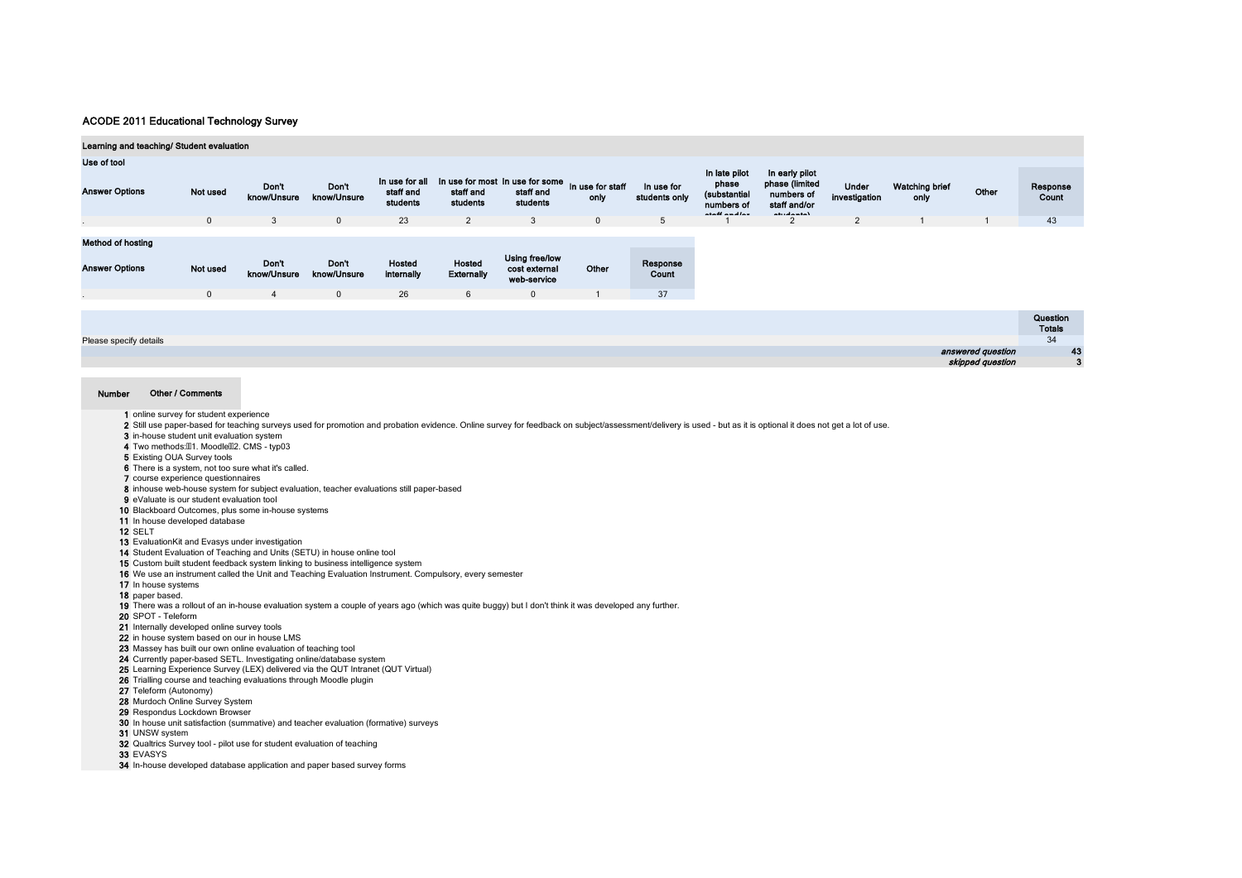| Learning and teaching/ Student evaluation         |                          |                                        |                                      |                                         |                                  |                                                                |                          |                             |                                                                       |                                                                               |                        |                               |                   |                           |
|---------------------------------------------------|--------------------------|----------------------------------------|--------------------------------------|-----------------------------------------|----------------------------------|----------------------------------------------------------------|--------------------------|-----------------------------|-----------------------------------------------------------------------|-------------------------------------------------------------------------------|------------------------|-------------------------------|-------------------|---------------------------|
| Use of tool                                       |                          |                                        |                                      |                                         |                                  |                                                                |                          |                             |                                                                       |                                                                               |                        |                               |                   |                           |
| <b>Answer Options</b>                             | Not used                 | <b>Don't</b><br>know/Unsure            | Don't<br>know/Unsure                 | In use for all<br>staff and<br>students | staff and<br>students            | In use for most In use for some<br>staff and<br>students       | In use for staff<br>only | In use for<br>students only | In late pilot<br>phase<br>(substantial<br>numbers of<br>ممالسمه للمفد | In early pilot<br>phase (limited<br>numbers of<br>staff and/or<br>advantage à | Under<br>investigation | <b>Watching brief</b><br>only | Other             | Response<br>Count         |
|                                                   | $\mathbf{0}$             | 3                                      | $\mathbf{0}$                         | 23                                      | $\overline{2}$                   | 3                                                              | $\mathbf{0}$             | 5                           |                                                                       |                                                                               | $\overline{2}$         |                               |                   | 43                        |
| <b>Method of hosting</b><br><b>Answer Options</b> | Not used<br>$\mathbf{0}$ | Don't<br>know/Unsure<br>$\overline{4}$ | Don't<br>know/Unsure<br>$\mathbf{0}$ | Hosted<br>internally<br>26              | Hosted<br><b>Externally</b><br>6 | Using free/low<br>cost external<br>web-service<br>$\mathbf{0}$ | Other                    | Response<br>Count<br>37     |                                                                       |                                                                               |                        |                               |                   |                           |
|                                                   |                          |                                        |                                      |                                         |                                  |                                                                |                          |                             |                                                                       |                                                                               |                        |                               |                   | Question<br><b>Totals</b> |
| Please specify details                            |                          |                                        |                                      |                                         |                                  |                                                                |                          |                             |                                                                       |                                                                               |                        |                               |                   | 34                        |
|                                                   |                          |                                        |                                      |                                         |                                  |                                                                |                          |                             |                                                                       |                                                                               |                        |                               | answered question | 43                        |
|                                                   |                          |                                        |                                      |                                         |                                  |                                                                |                          |                             |                                                                       |                                                                               |                        |                               | skipped question  | 3                         |

#### Number Other / Comments

- 1 online survey for student experience
- 2 Still use paper-based for teaching surveys used for promotion and probation evidence. Online survey for feedback on subject/assessment/delivery is used but as it is optional it does not get a lot of use.
- 3 in-house student unit evaluation system
- 4 Two methods: 01. Moodle 02. CMS typ03
- 5 Existing OUA Survey tools
- 6 There is a system, not too sure what it's called.
- 7 course experience questionnaires
- 8 inhouse web-house system for subject evaluation, teacher evaluations still paper-based
- 9 eValuate is our student evaluation tool
- 10 Blackboard Outcomes, plus some in-house systems
- 11 In house developed database
- 12 SELT
- 13 EvaluationKit and Evasys under investigation
- 14 Student Evaluation of Teaching and Units (SETU) in house online tool
- 15 Custom built student feedback system linking to business intelligence system
- 16 We use an instrument called the Unit and Teaching Evaluation Instrument. Compulsory, every semester
- 17 In house systems
- 18 paper based.
- 19 There was a rollout of an in-house evaluation system a couple of years ago (which was quite buggy) but I don't think it was developed any further.
- 20 SPOT Teleform
- 21 Internally developed online survey tools
- 22 in house system based on our in house LMS
- 23 Massey has built our own online evaluation of teaching tool
- 
- 24 Currently paper-based SETL. Investigating online/database system
- 25 Learning Experience Survey (LEX) delivered via the QUT Intranet (QUT Virtual)
- 26 Trialling course and teaching evaluations through Moodle plugin
- 27 Teleform (Autonomy)
- 28 Murdoch Online Survey System
- 29 Respondus Lockdown Browser
- 30 In house unit satisfaction (summative) and teacher evaluation (formative) surveys
- 31 UNSW system
- 32 Qualtrics Survey tool pilot use for student evaluation of teaching
- 33 EVASYS
- 34 In-house developed database application and paper based survey forms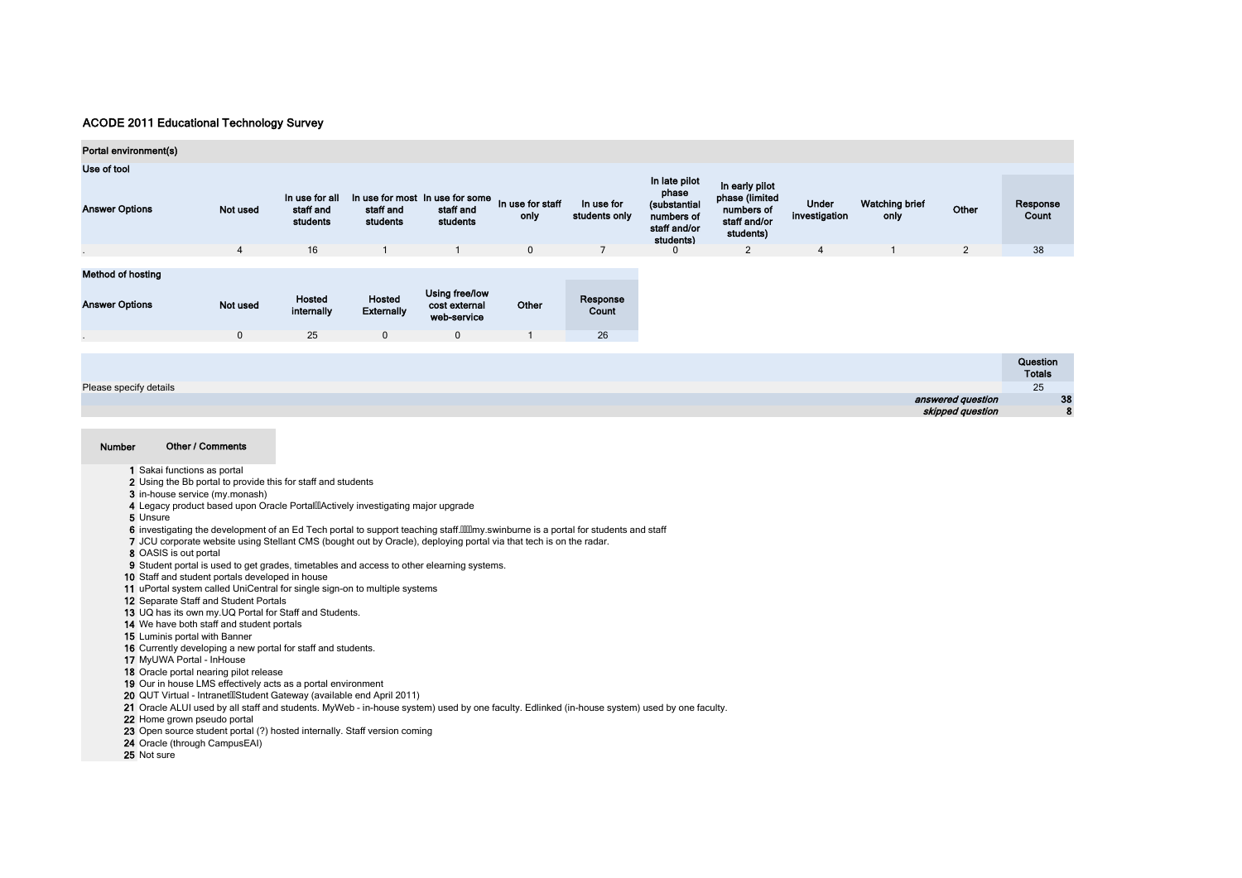| Portal environment(s)  |                |                                         |                             |                                                          |                          |                             |                                                                  |                                                           |                               |                               |                   |                   |
|------------------------|----------------|-----------------------------------------|-----------------------------|----------------------------------------------------------|--------------------------|-----------------------------|------------------------------------------------------------------|-----------------------------------------------------------|-------------------------------|-------------------------------|-------------------|-------------------|
| Use of tool            |                |                                         |                             |                                                          |                          |                             | In late pilot                                                    | In early pilot                                            |                               |                               |                   |                   |
| <b>Answer Options</b>  | Not used       | In use for all<br>staff and<br>students | staff and<br>students       | In use for most In use for some<br>staff and<br>students | In use for staff<br>only | In use for<br>students only | phase<br>(substantial<br>numbers of<br>staff and/or<br>students) | phase (limited<br>numbers of<br>staff and/or<br>students) | <b>Under</b><br>investigation | <b>Watching brief</b><br>only | Other             | Response<br>Count |
|                        | $\overline{4}$ | 16                                      |                             | $\overline{1}$                                           | $\mathbf 0$              | $\overline{7}$              | 0                                                                | 2                                                         | $\overline{4}$                |                               | $\overline{2}$    | 38                |
| Method of hosting      |                |                                         |                             |                                                          |                          |                             |                                                                  |                                                           |                               |                               |                   |                   |
| <b>Answer Options</b>  | Not used       | Hosted<br>internally                    | Hosted<br><b>Externally</b> | Using free/low<br>cost external<br>web-service           | Other                    | Response<br>Count           |                                                                  |                                                           |                               |                               |                   |                   |
|                        | $\mathbf 0$    | 25                                      | $\mathbf 0$                 | $\mathbf 0$                                              |                          | 26                          |                                                                  |                                                           |                               |                               |                   |                   |
|                        |                |                                         |                             |                                                          |                          |                             |                                                                  |                                                           |                               |                               |                   | Question          |
|                        |                |                                         |                             |                                                          |                          |                             |                                                                  |                                                           |                               |                               |                   | <b>Totals</b>     |
| Please specify details |                |                                         |                             |                                                          |                          |                             |                                                                  |                                                           |                               |                               |                   | 25                |
|                        |                |                                         |                             |                                                          |                          |                             |                                                                  |                                                           |                               |                               | answered question | 38                |
|                        |                |                                         |                             |                                                          |                          |                             |                                                                  |                                                           |                               |                               | skipped question  | 8                 |

- 1 Sakai functions as portal 2 Using the Bb portal to provide this for staff and students
- 3 in-house service (my.monash)
- 4 Legacy product based upon Oracle PortalllActively investigating major upgrade
- 5 Unsure
- 6 investigating the development of an Ed Tech portal to support teaching staff.[[[[[[[[[[[[[]]]][[[[]]][[]] on students and staff
- 7 JCU corporate website using Stellant CMS (bought out by Oracle), deploying portal via that tech is on the radar.
- 8 OASIS is out portal
- 9 Student portal is used to get grades, timetables and access to other elearning systems.
- 10 Staff and student portals developed in house
- 11 uPortal system called UniCentral for single sign-on to multiple systems
- 12 Separate Staff and Student Portals
- 13 UQ has its own my.UQ Portal for Staff and Students.
- 14 We have both staff and student portals
- 15 Luminis portal with Banner
- 16 Currently developing a new portal for staff and students.
- 17 MyUWA Portal InHouse
- 18 Oracle portal nearing pilot release
- 19 Our in house LMS effectively acts as a portal environment
- 20 QUT Virtual IntranetlllStudent Gateway (available end April 2011)
- 21 Oracle ALUI used by all staff and students. MyWeb in-house system) used by one faculty. Edlinked (in-house system) used by one faculty.
- 22 Home grown pseudo portal
- 23 Open source student portal (?) hosted internally. Staff version coming
- 24 Oracle (through CampusEAI)
- 25 Not sure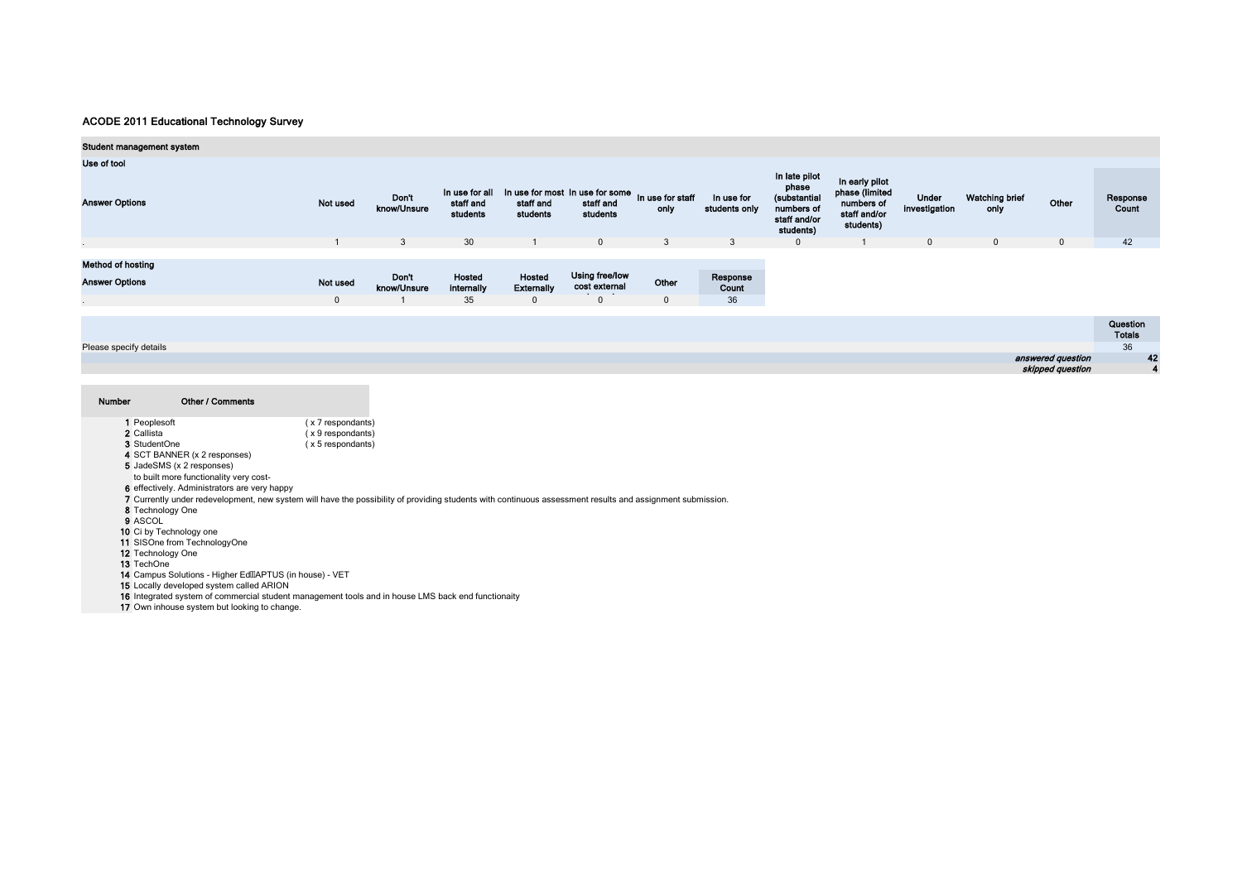| Student management system                  |                          |                             |                                         |                                                                           |                                                 |                       |                             |                                                                                   |                                                                             |                        |                               |                  |                           |
|--------------------------------------------|--------------------------|-----------------------------|-----------------------------------------|---------------------------------------------------------------------------|-------------------------------------------------|-----------------------|-----------------------------|-----------------------------------------------------------------------------------|-----------------------------------------------------------------------------|------------------------|-------------------------------|------------------|---------------------------|
| Use of tool                                |                          |                             |                                         |                                                                           |                                                 |                       |                             |                                                                                   |                                                                             |                        |                               |                  |                           |
| <b>Answer Options</b>                      | Not used                 | Don't<br>know/Unsure        | In use for all<br>staff and<br>students | In use for most In use for some In use for staff<br>staff and<br>students | staff and<br>students                           | only                  | In use for<br>students only | In late pilot<br>phase<br>(substantial<br>numbers of<br>staff and/or<br>students) | In early pilot<br>phase (limited<br>numbers of<br>staff and/or<br>students) | Under<br>investigation | <b>Watching brief</b><br>only | Other            | Response<br>Count         |
|                                            |                          | $\mathbf{3}$                | 30                                      |                                                                           | $\overline{0}$                                  | 3                     | 3                           | $\mathbf{0}$                                                                      |                                                                             | $\mathbf 0$            | $\mathbf 0$                   | $\overline{0}$   | 42                        |
| Method of hosting<br><b>Answer Options</b> | Not used<br>$\mathbf{0}$ | <b>Don't</b><br>know/Unsure | Hosted<br>internally<br>35              | Hosted<br><b>Externally</b><br>$\mathbf{0}$                               | Using free/low<br>cost external<br>$\mathbf{0}$ | Other<br>$\mathbf{0}$ | Response<br>Count<br>36     |                                                                                   |                                                                             |                        |                               |                  |                           |
|                                            |                          |                             |                                         |                                                                           |                                                 |                       |                             |                                                                                   |                                                                             |                        |                               |                  | Question<br><b>Totals</b> |
| Please specify details                     |                          |                             |                                         |                                                                           |                                                 |                       |                             |                                                                                   |                                                                             |                        |                               |                  | 36                        |
|                                            |                          |                             |                                         |                                                                           |                                                 |                       |                             |                                                                                   |                                                                             |                        | answered question             |                  | 42                        |
|                                            |                          |                             |                                         |                                                                           |                                                 |                       |                             |                                                                                   |                                                                             |                        |                               | skipped question | 4                         |

| Number | Other / Comments |
|--------|------------------|
|        |                  |

- 1 Peoplesoft ( x 7 respondants)<br>
2 Callista ( x 9 respondants)<br>
3 StudentOne ( x 5 respondants)
	- $(x 9$  respondants)
- $(x 5$  respondants)
- 4 SCT BANNER (x 2 responses)
- 5 JadeSMS (x 2 responses)
- to built more functionality very cost-
- 
- 6 effectively. Administrators are very happy
- 7 Currently under redevelopment, new system will have the possibility of providing students with continuous assessment results and assignment submission.
- 8 Technology One 9 ASCOL
- 
- 
- 10 Ci by Technology one 11 SISOne from TechnologyOne
- 12 Technology One

13 TechOne

- 
- 14 Campus Solutions Higher EdlIAPTUS (in house) VET
- 

15 Locally developed system called ARION 16 Integrated system of commercial student management tools and in house LMS back end functionaity

17 Own inhouse system but looking to change.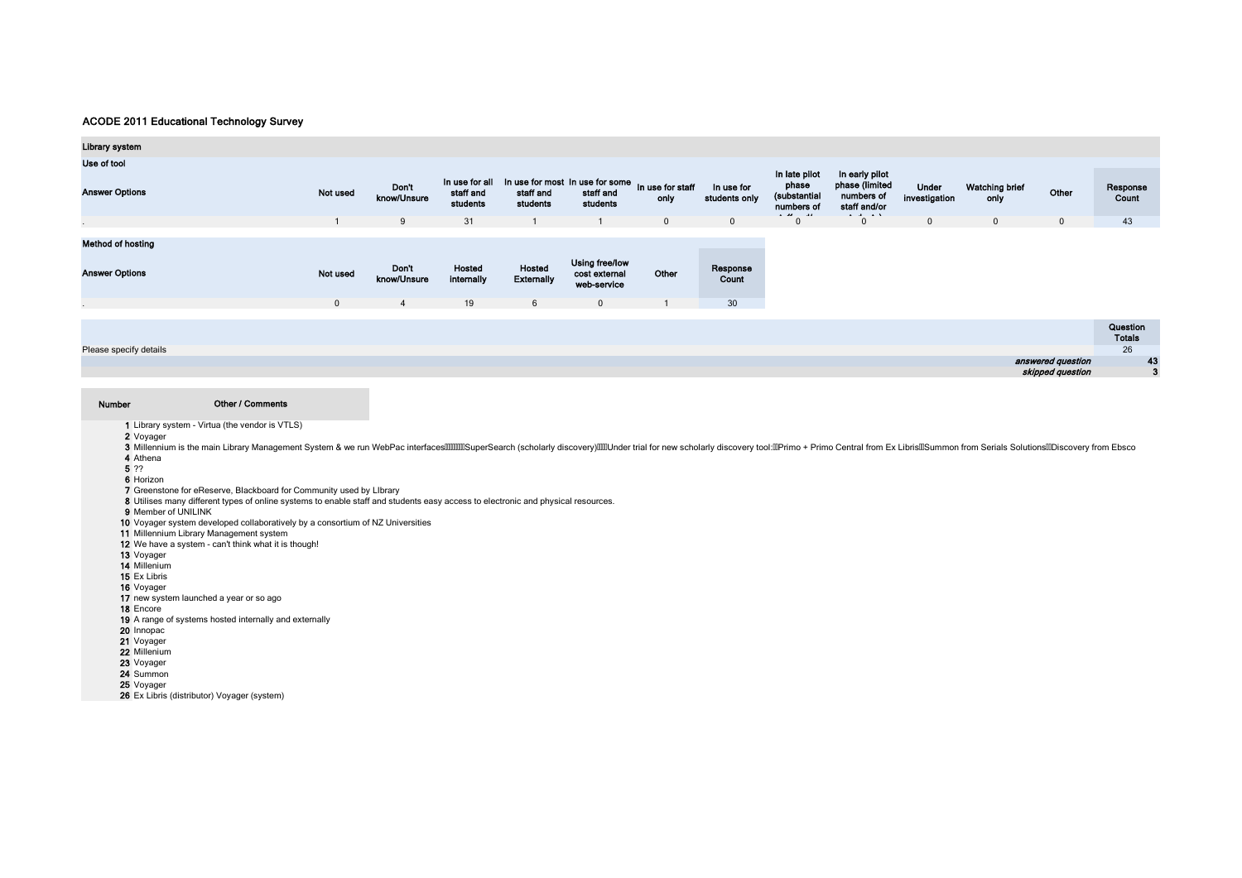| <b>Library system</b>    |              |                      |                                         |                                                                           |                                                |                |                             |                                                      |                                                                                            |                        |                        |              |                           |
|--------------------------|--------------|----------------------|-----------------------------------------|---------------------------------------------------------------------------|------------------------------------------------|----------------|-----------------------------|------------------------------------------------------|--------------------------------------------------------------------------------------------|------------------------|------------------------|--------------|---------------------------|
| Use of tool              |              |                      |                                         |                                                                           |                                                |                |                             |                                                      |                                                                                            |                        |                        |              |                           |
| <b>Answer Options</b>    | Not used     | Don't<br>know/Unsure | In use for all<br>staff and<br>students | In use for most In use for some In use for staff<br>staff and<br>students | staff and<br>students                          | only           | In use for<br>students only | In late pilot<br>phase<br>(substantial<br>numbers of | In early pilot<br>phase (limited<br>numbers of<br>staff and/or<br><b>Contract Contract</b> | Under<br>investigation | Watching brief<br>only | Other        | Response<br>Count         |
|                          |              | 9                    | 31                                      |                                                                           |                                                | $\overline{0}$ | $\mathbf{0}$                | $\Omega$                                             | $\mathbf{0}$                                                                               | $\mathbf{0}$           | $\mathbf 0$            | $\mathbf{0}$ | 43                        |
| <b>Method of hosting</b> |              |                      |                                         |                                                                           |                                                |                |                             |                                                      |                                                                                            |                        |                        |              |                           |
| <b>Answer Options</b>    | Not used     | Don't<br>know/Unsure | Hosted<br>internally                    | Hosted<br><b>Externally</b>                                               | Using free/low<br>cost external<br>web-service | Other          | Response<br>Count           |                                                      |                                                                                            |                        |                        |              |                           |
|                          | $\mathbf{0}$ | 4                    | 19                                      | 6                                                                         | $\mathbf{0}$                                   |                | 30                          |                                                      |                                                                                            |                        |                        |              |                           |
|                          |              |                      |                                         |                                                                           |                                                |                |                             |                                                      |                                                                                            |                        |                        |              |                           |
|                          |              |                      |                                         |                                                                           |                                                |                |                             |                                                      |                                                                                            |                        |                        |              | Question<br><b>Totals</b> |

Please specify details

#### Number

Other / Comments

1 Library system - Virtua (the vendor is VTLS)

2 Voyager

3 Millennium is the main Library Management System & we run WebPac interfaces000000 Search (scholarly discovery)000Under trial for new scholarly discovery tool: DPrimo + Primo Central from Ex Libris DSummon from Serials So 4 Athena

26 43 3

answered question

skipped question

5 ??

6 Horizon

7 Greenstone for eReserve, Blackboard for Community used by LIbrary

8 Utilises many different types of online systems to enable staff and students easy access to electronic and physical resources.

9 Member of UNILINK

10 Voyager system developed collaboratively by a consortium of NZ Universities 11 Millennium Library Management system

12 We have a system - can't think what it is though!

13 Voyager

14 Millenium

15 Ex Libris

16 Voyager

17 new system launched a year or so ago

18 Encore

- 19 A range of systems hosted internally and externally
- 20 Innopac
- 21 Voyager 22 Millenium

23 Voyager 24 Summon

25 Voyager

26 Ex Libris (distributor) Voyager (system)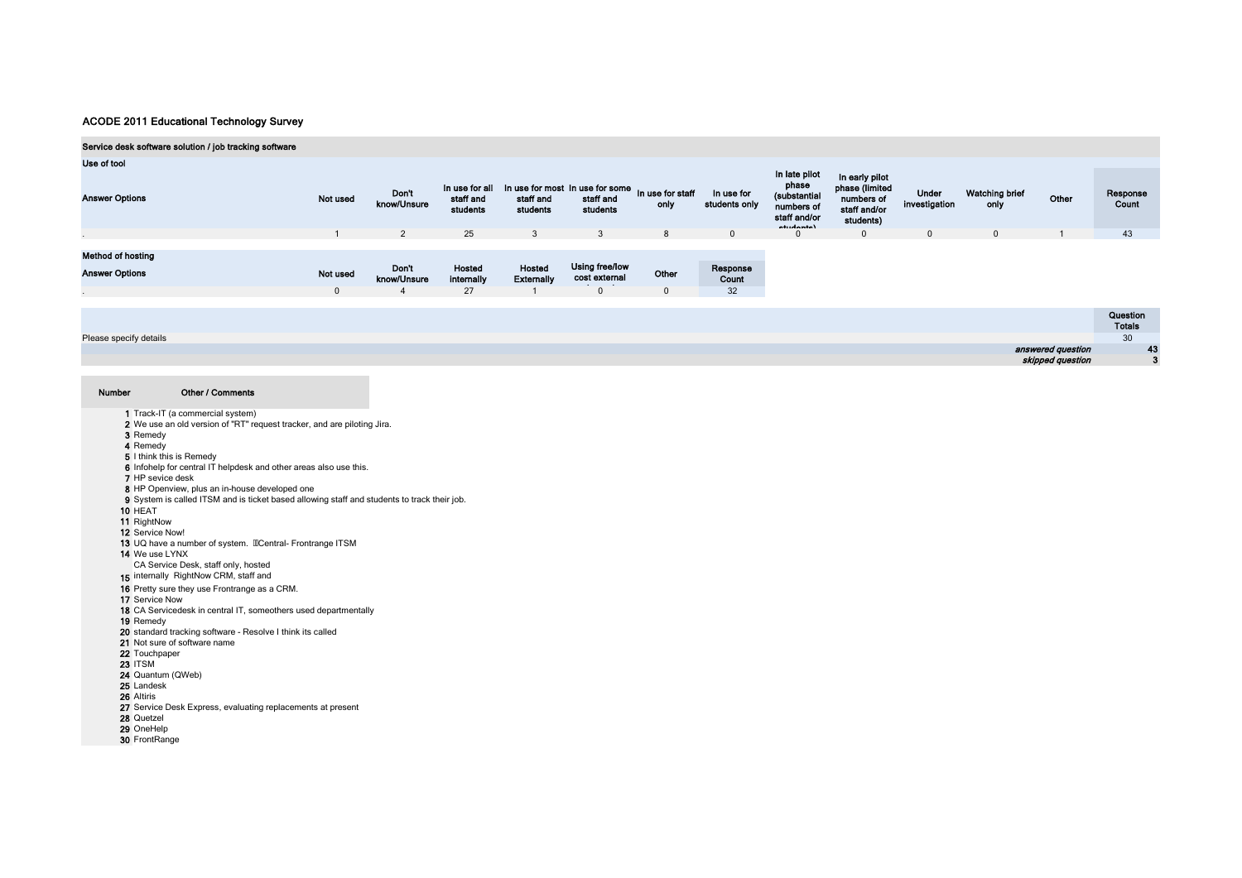## Service desk software solution / job tracking software

| Use of tool              |          |                      |                                         |                             |                                                          |                          |                             |                                                                                             |                                                                             |                        |                               |       |                                            |
|--------------------------|----------|----------------------|-----------------------------------------|-----------------------------|----------------------------------------------------------|--------------------------|-----------------------------|---------------------------------------------------------------------------------------------|-----------------------------------------------------------------------------|------------------------|-------------------------------|-------|--------------------------------------------|
| <b>Answer Options</b>    | Not used | Don't<br>know/Unsure | In use for all<br>staff and<br>students | staff and<br>students       | In use for most In use for some<br>staff and<br>students | In use for staff<br>only | In use for<br>students only | In late pilot<br>phase<br>(substantial<br>numbers of<br>staff and/or<br><b>Anton Access</b> | In early pilot<br>phase (limited<br>numbers of<br>staff and/or<br>students) | Under<br>investigation | <b>Watching brief</b><br>only | Other | Response<br>Count                          |
|                          |          | $\overline{2}$       | 25                                      | 3                           | 3                                                        | 8                        |                             | $\mathbf{0}$                                                                                | $\mathbf{0}$                                                                |                        | $\mathbf 0$                   |       | 43                                         |
|                          |          |                      |                                         |                             |                                                          |                          |                             |                                                                                             |                                                                             |                        |                               |       |                                            |
| <b>Method of hosting</b> |          |                      |                                         |                             |                                                          |                          |                             |                                                                                             |                                                                             |                        |                               |       |                                            |
| <b>Answer Options</b>    | Not used | Don't<br>know/Unsure | Hosted<br>internally                    | Hosted<br><b>Externally</b> | Using free/low<br>cost external                          | Other                    | Response<br>Count           |                                                                                             |                                                                             |                        |                               |       |                                            |
|                          |          | $\overline{a}$       | 27                                      |                             |                                                          | $\mathbf{0}$             | 32                          |                                                                                             |                                                                             |                        |                               |       |                                            |
|                          |          |                      |                                         |                             |                                                          |                          |                             |                                                                                             |                                                                             |                        |                               |       |                                            |
|                          |          |                      |                                         |                             |                                                          |                          |                             |                                                                                             |                                                                             |                        |                               |       | <b>Contract Contract Contract Contract</b> |

|                        | <b>QUESUON</b>               |
|------------------------|------------------------------|
|                        | <b>Totals</b>                |
| Please specify details | 30 <sub>0</sub><br><u>vv</u> |
| answered question      |                              |
| skipped question       |                              |
|                        |                              |

| Number | Other / Comments                                                                            |
|--------|---------------------------------------------------------------------------------------------|
|        | 1 Track-IT (a commercial system)                                                            |
|        | 2 We use an old version of "RT" request tracker, and are piloting Jira.                     |
|        | 3 Remedy                                                                                    |
|        | 4 Remedy                                                                                    |
|        | 5 I think this is Remedy                                                                    |
|        | 6 Infohelp for central IT helpdesk and other areas also use this.                           |
|        | 7 HP sevice desk                                                                            |
|        | 8 HP Openview, plus an in-house developed one                                               |
|        | 9 System is called ITSM and is ticket based allowing staff and students to track their job. |
|        | 10 HEAT                                                                                     |
|        | 11 RightNow                                                                                 |
|        | 12 Service Now!                                                                             |
|        | 13 UQ have a number of system. IIICentral- Frontrange ITSM                                  |
|        | 14 We use LYNX                                                                              |
|        | CA Service Desk, staff only, hosted                                                         |
|        | 15 internally RightNow CRM, staff and                                                       |
|        | 16 Pretty sure they use Frontrange as a CRM.                                                |
|        | 17 Service Now                                                                              |
|        | 18 CA Servicedesk in central IT, someothers used departmentally                             |
|        | 19 Remedy                                                                                   |
|        | 20 standard tracking software - Resolve I think its called                                  |
|        | 21 Not sure of software name                                                                |
|        | 22 Touchpaper                                                                               |
|        | <b>23 ITSM</b>                                                                              |
|        | 24 Quantum (QWeb)                                                                           |
|        | 25 Landesk                                                                                  |
|        | 26 Altiris                                                                                  |
|        | 27 Service Desk Express, evaluating replacements at present                                 |
|        | 28 Quetzel                                                                                  |
|        | 29 OneHelp                                                                                  |
|        | 30 FrontRange                                                                               |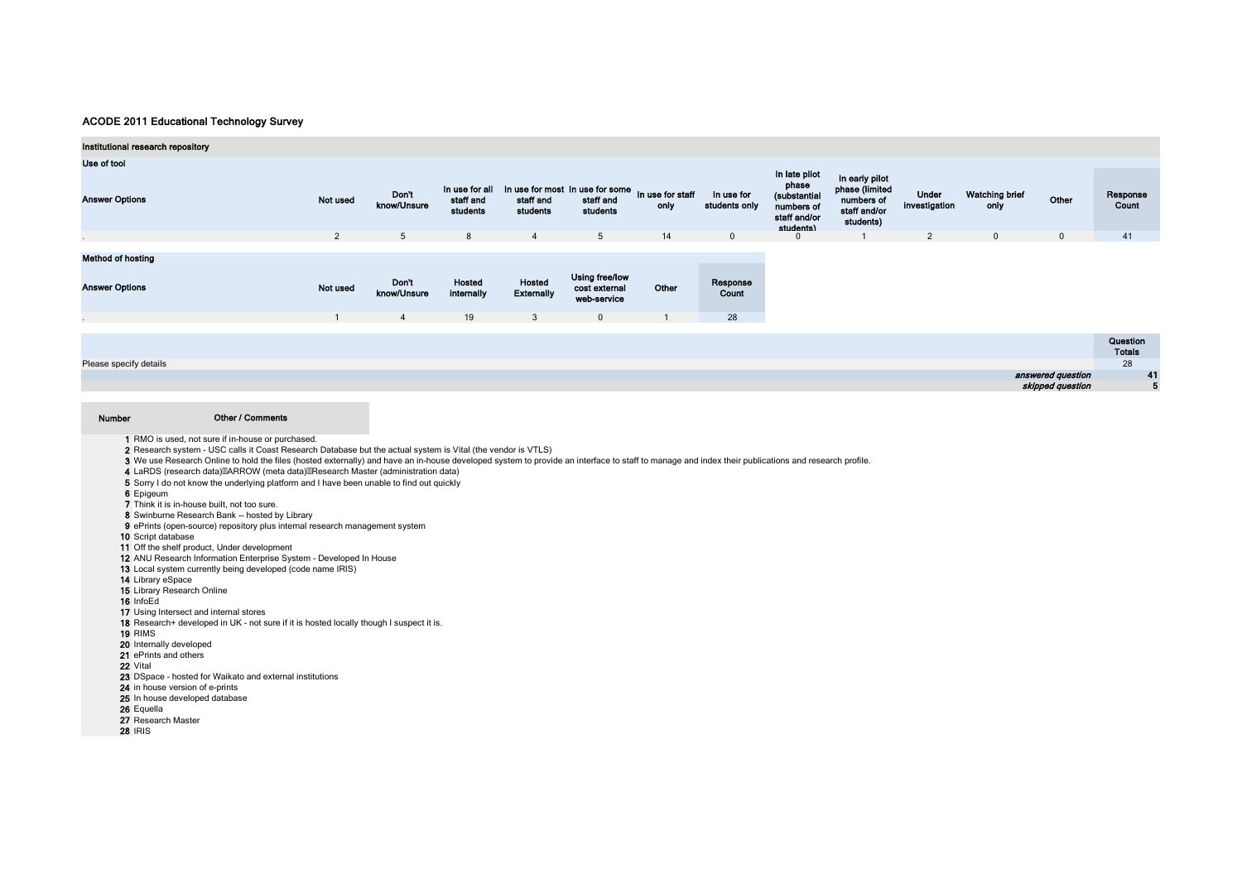| Institutional research repository                 |                |                      |                                         |                                                                           |                                                |       |                             |                                                                                   |                                                                             |                        |                        |                   |                           |    |
|---------------------------------------------------|----------------|----------------------|-----------------------------------------|---------------------------------------------------------------------------|------------------------------------------------|-------|-----------------------------|-----------------------------------------------------------------------------------|-----------------------------------------------------------------------------|------------------------|------------------------|-------------------|---------------------------|----|
| Use of tool                                       |                |                      |                                         |                                                                           |                                                |       |                             |                                                                                   |                                                                             |                        |                        |                   |                           |    |
| <b>Answer Options</b>                             | Not used       | Don't<br>know/Unsure | In use for all<br>staff and<br>students | In use for most In use for some In use for staff<br>staff and<br>students | staff and<br>students                          | only  | In use for<br>students only | In late pilot<br>phase<br>(substantial<br>numbers of<br>staff and/or<br>students) | In early pilot<br>phase (limited<br>numbers of<br>staff and/or<br>students) | Under<br>investigation | Watching brief<br>only | Other             | Response<br>Count         |    |
|                                                   | $\overline{2}$ | 5                    | 8                                       | $\overline{4}$                                                            | 5 <sup>5</sup>                                 | 14    | $\mathbf{0}$                | 0                                                                                 |                                                                             | $\overline{2}$         | $\mathbf{0}$           | $\mathbf{0}$      | 41                        |    |
| <b>Method of hosting</b><br><b>Answer Options</b> | Not used       | Don't<br>know/Unsure | Hosted<br>internally                    | Hosted<br><b>Externally</b>                                               | Using free/low<br>cost external<br>web-service | Other | Response<br>Count           |                                                                                   |                                                                             |                        |                        |                   |                           |    |
|                                                   |                | $\overline{4}$       | 19                                      | $\mathbf{3}$                                                              | $\mathbf{0}$                                   |       | 28                          |                                                                                   |                                                                             |                        |                        |                   |                           |    |
|                                                   |                |                      |                                         |                                                                           |                                                |       |                             |                                                                                   |                                                                             |                        |                        |                   | Question<br><b>Totals</b> |    |
| Please specify details                            |                |                      |                                         |                                                                           |                                                |       |                             |                                                                                   |                                                                             |                        |                        |                   | 28                        |    |
|                                                   |                |                      |                                         |                                                                           |                                                |       |                             |                                                                                   |                                                                             |                        |                        | answered guestion |                           | 41 |

|                   | --- |
|-------------------|-----|
| answered question |     |
| skipped question  |     |

#### Number Other / Comments

1 RMO is used, not sure if in-house or purchased.

2 Research system - USC calls it Coast Research Database but the actual system is Vital (the vendor is VTLS)

3 We use Research Online to hold the files (hosted externally) and have an in-house developed system to provide an interface to staff to manage and index their publications and research profile.

4 LaRDS (research data) MARROW (meta data) MResearch Master (administration data)

5 Sorry I do not know the underlying platform and I have been unable to find out quickly

6 Epigeum

7 Think it is in-house built, not too sure.

8 Swinburne Research Bank -- hosted by Library

9 ePrints (open-source) repository plus internal research management system

10 Script database

11 Off the shelf product, Under development

12 ANU Research Information Enterprise System - Developed In House

13 Local system currently being developed (code name IRIS)

14 Library eSpace

15 Library Research Online

16 InfoEd

17 Using Intersect and internal stores

18 Research+ developed in UK - not sure if it is hosted locally though I suspect it is.

19 RIMS

20 Internally developed

21 ePrints and others

22 Vital

23 DSpace - hosted for Waikato and external institutions

24 in house version of e-prints

25 In house developed database

26 Equella

27 Research Master

28 IRIS